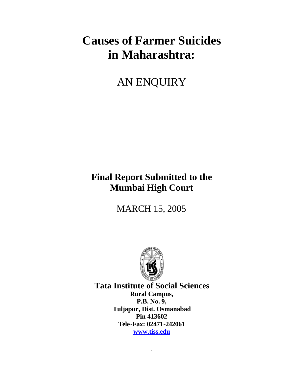# **Causes of Farmer Suicides in Maharashtra:**

## AN ENQUIRY

## **Final Report Submitted to the Mumbai High Court**

MARCH 15, 2005



**Tata Institute of Social Sciences Rural Campus, P.B. No. 9, Tuljapur, Dist. Osmanabad Pin 413602 Tele-Fax: 02471-242061 www.tiss.edu**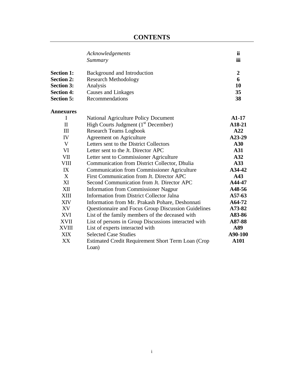|                   | Acknowledgements<br>Summary                                 | ii<br>iii      |
|-------------------|-------------------------------------------------------------|----------------|
| <b>Section 1:</b> | Background and Introduction                                 | $\overline{2}$ |
| <b>Section 2:</b> | <b>Research Methodology</b>                                 | 6              |
| <b>Section 3:</b> | Analysis                                                    | 10             |
| <b>Section 4:</b> | Causes and Linkages                                         | 35             |
| <b>Section 5:</b> | Recommendations                                             | 38             |
| <b>Annexures</b>  |                                                             |                |
| I                 | <b>National Agriculture Policy Document</b>                 | $A1-17$        |
| $\mathbf{I}$      | High Courts Judgment $(1st December)$                       | A18-21         |
| III               | <b>Research Teams Logbook</b>                               | A22            |
| IV                | <b>Agreement on Agriculture</b>                             | A23-29         |
| V                 | Letters sent to the District Collectors                     | A30            |
| VI                | Letter sent to the Jt. Director APC                         | A31            |
| <b>VII</b>        | Letter sent to Commissioner Agriculture                     | A32            |
| <b>VIII</b>       | Communication from District Collector, Dhulia               | A33            |
| IX                | <b>Communication from Commissioner Agriculture</b>          | A34-42         |
| X                 | First Communication from Jt. Director APC                   | A43            |
| XI                | Second Communication from Jt. Director APC                  | A44-47         |
| XII               | <b>Information from Commissioner Nagpur</b>                 | A48-56         |
| XIII              | <b>Information from District Collector Jalna</b>            | A57-63         |
| <b>XIV</b>        | Information from Mr. Prakash Pohare, Deshonnati             | A64-72         |
| XV                | Questionnaire and Focus Group Discussion Guidelines         | A73-82         |
| <b>XVI</b>        | List of the family members of the deceased with             | A83-86         |
| <b>XVII</b>       | List of persons in Group Discussions interacted with        | A87-88         |
| <b>XVIII</b>      | List of experts interacted with                             | A89            |
| <b>XIX</b>        | <b>Selected Case Studies</b>                                | A90-100        |
| XX                | Estimated Credit Requirement Short Term Loan (Crop<br>Loan) | <b>A101</b>    |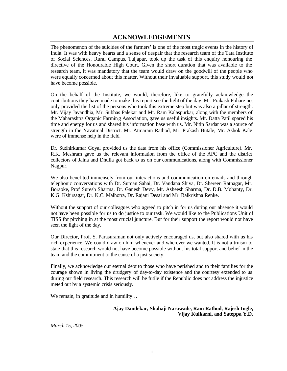## **ACKNOWLEDGEMENTS**

The phenomenon of the suicides of the farmers' is one of the most tragic events in the history of India. It was with heavy hearts and a sense of despair that the research team of the Tata Institute of Social Sciences, Rural Campus, Tuljapur, took up the task of this enquiry honouring the directive of the Honourable High Court. Given the short duration that was available to the research team, it was mandatory that the team would draw on the goodwill of the people who were equally concerned about this matter. Without their invaluable support, this study would not have become possible.

On the behalf of the Institute, we would, therefore, like to gratefully acknowledge the contributions they have made to make this report see the light of the day. Mr. Prakash Pohare not only provided the list of the persons who took this extreme step but was also a pillar of strength. Mr. Vijay Javandhia, Mr. Subhas Palekar and Mr. Ram Kalaspurkar, along with the members of the Maharashtra Organic Farming Association, gave us useful insights. Mr. Datta Patil spared his time and energy for us and shared his information base with us. Mr. Nitin Sardar was a source of strength in the Yavatmal District. Mr. Atmaram Rathod, Mr. Prakash Butale, Mr. Ashok Kale were of immense help in the field.

Dr. Sudhirkumar Goyal provided us the data from his office (Commissioner Agriculture). Mr. R.K. Meshram gave us the relevant information from the office of the APC and the district collectors of Jalna and Dhulia got back to us on our communications, along with Commissioner Nagpur.

We also benefited immensely from our interactions and communication on emails and through telephonic conversations with Dr. Suman Sahai, Dr. Vandana Shiva, Dr. Shereen Ratnagar, Mr. Boraoke, Prof Suresh Sharma, Dr. Ganesh Devy, Mr. Asheesh Sharma, Dr. D.B. Mohanty, Dr. K.G. Kshirsagar, Dr. K.C. Malhotra, Dr. Rajani Desai and Mr. Balkrishna Renke.

Without the support of our colleagues who agreed to pitch in for us during our absence it would not have been possible for us to do justice to our task. We would like to the Publications Unit of TISS for pitching in at the most crucial juncture. But for their support the report would not have seen the light of the day.

Our Director, Prof. S. Parasuraman not only actively encouraged us, but also shared with us his rich experience. We could draw on him whenever and wherever we wanted. It is not a truism to state that this research would not have become possible without his total support and belief in the team and the commitment to the cause of a just society.

Finally, we acknowledge our eternal debt to those who have perished and to their families for the courage shown in living the drudgery of day-to-day existence and the courtesy extended to us during our field research. This research will be futile if the Republic does not address the injustice meted out by a systemic crisis seriously.

We remain, in gratitude and in humility...

#### **Ajay Dandekar, Shahaji Narawade, Ram Rathod, Rajesh Ingle, Vijay Kulkarni, and Sateppa Y.D.**

*March 15, 2005*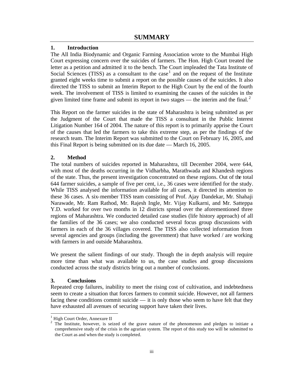## **1. Introduction**

The All India Biodynamic and Organic Farming Association wrote to the Mumbai High Court expressing concern over the suicides of farmers. The Hon. High Court treated the letter as a petition and admitted it to the bench. The Court impleaded the Tata Institute of Social Sciences (TISS) as a consultant to the case<sup>1</sup> and on the request of the Institute granted eight weeks time to submit a report on the possible causes of the suicides. It also directed the TISS to submit an Interim Report to the High Court by the end of the fourth week. The involvement of TISS is limited to examining the causes of the suicides in the given limited time frame and submit its report in two stages — the interim and the final.<sup>2</sup>

This Report on the farmer suicides in the state of Maharashtra is being submitted as per the Judgment of the Court that made the TISS a consultant in the Public Interest Litigation Number 164 of 2004. The nature of this report is to primarily apprise the Court of the causes that led the farmers to take this extreme step, as per the findings of the research team. The Interim Report was submitted to the Court on February 16, 2005, and this Final Report is being submitted on its due date — March 16, 2005.

## **2. Method**

The total numbers of suicides reported in Maharashtra, till December 2004, were 644, with most of the deaths occurring in the Vidharbha, Marathwada and Khandesh regions of the state. Thus, the present investigation concentrated on these regions. Out of the total 644 farmer suicides, a sample of five per cent, i.e., 36 cases were identified for the study. While TISS analysed the information available for all cases, it directed its attention to these 36 cases. A six-member TISS team consisting of Prof. Ajay Dandekar, Mr. Shahaji Narawade, Mr. Ram Rathod, Mr. Rajesh Ingle, Mr. Vijay Kulkarni, and Mr. Satteppa Y.D. worked for over two months in 12 districts spread over the aforementioned three regions of Maharashtra. We conducted detailed case studies (life history approach) of all the families of the 36 cases; we also conducted several focus group discussions with farmers in each of the 36 villages covered. The TISS also collected information from several agencies and groups (including the government) that have worked / are working with farmers in and outside Maharashtra.

We present the salient findings of our study. Though the in depth analysis will require more time than what was available to us, the case studies and group discussions conducted across the study districts bring out a number of conclusions.

## **3. Conclusions**

l

Repeated crop failures, inability to meet the rising cost of cultivation, and indebtedness seem to create a situation that forces farmers to commit suicide. However, not all farmers facing these conditions commit suicide — it is only those who seem to have felt that they have exhausted all avenues of securing support have taken their lives.

<sup>1</sup> High Court Order, Annexure II

<sup>2</sup> The Institute, however, is seized of the grave nature of the phenomenon and pledges to initiate a comprehensive study of the crisis in the agrarian system. The report of this study too will be submitted to the Court as and when the study is completed.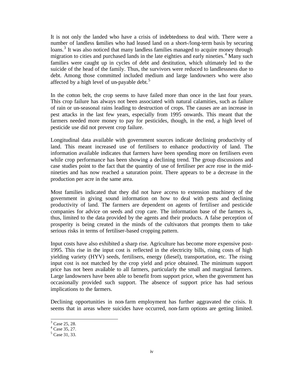It is not only the landed who have a crisis of indebtedness to deal with. There were a number of landless families who had leased land on a short-/long-term basis by securing loans.<sup>3</sup> It was also noticed that many landless families managed to acquire money through migration to cities and purchased lands in the late eighties and early nineties.<sup>4</sup> Many such families were caught up in cycles of debt and destitution, which ultimately led to the suicide of the head of the family. Thus, the survivors were reduced to landlessness due to debt. Among those committed included medium and large landowners who were also affected by a high level of un-payable debt.<sup>5</sup>

In the cotton belt, the crop seems to have failed more than once in the last four years. This crop failure has always not been associated with natural calamities, such as failure of rain or un-seasonal rains leading to destruction of crops. The causes are an increase in pest attacks in the last few years, especially from 1995 onwards. This meant that the farmers needed more money to pay for pesticides, though, in the end, a high level of pesticide use did not prevent crop failure.

Longitudinal data available with government sources indicate declining productivity of land. This meant increased use of fertilisers to enhance productivity of land. The information available indicates that farmers have been spending more on fertilisers even while crop performance has been showing a declining trend. The group discussions and case studies point to the fact that the quantity of use of fertiliser per acre rose in the midnineties and has now reached a saturation point. There appears to be a decrease in the production per acre in the same area.

Most families indicated that they did not have access to extension machinery of the government in giving sound information on how to deal with pests and declining productivity of land. The farmers are dependent on agents of fertiliser and pesticide companies for advice on seeds and crop care. The information base of the farmers is, thus, limited to the data provided by the agents and their products. A false perception of prosperity is being created in the minds of the cultivators that prompts them to take serious risks in terms of fertiliser-based cropping pattern.

Input costs have also exhibited a sharp rise. Agriculture has become more expensive post-1995. This rise in the input cost is reflected in the electricity bills, rising costs of high yielding variety (HYV) seeds, fertilisers, energy (diesel), transportation, etc. The rising input cost is not matched by the crop yield and price obtained. The minimum support price has not been available to all farmers, particularly the small and marginal farmers. Large landowners have been able to benefit from support price, when the government has occasionally provided such support. The absence of support price has had serious implications to the farmers.

Declining opportunities in non-farm employment has further aggravated the crisis. It seems that in areas where suicides have occurred, non-farm options are getting limited.

 $3 \text{ Case } 25, 28.$ 

<sup>4</sup> Case 35, 27.

<sup>5</sup> Case 31, 33.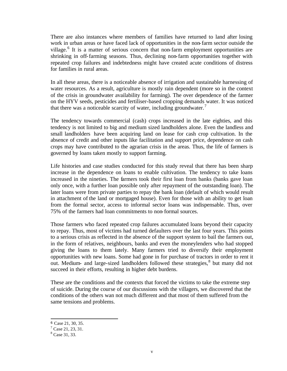There are also instances where members of families have returned to land after losing work in urban areas or have faced lack of opportunities in the non-farm sector outside the village.<sup>6</sup> It is a matter of serious concern that non-farm employment opportunities are shrinking in off-farming seasons. Thus, declining non-farm opportunities together with repeated crop failures and indebtedness might have created acute conditions of distress for families in rural areas.

In all these areas, there is a noticeable absence of irrigation and sustainable harnessing of water resources. As a result, agriculture is mostly rain dependent (more so in the context of the crisis in groundwater availability for farming). The over dependence of the farmer on the HYV seeds, pesticides and fertiliser-based cropping demands water. It was noticed that there was a noticeable scarcity of water, including groundwater.<sup>7</sup>

The tendency towards commercial (cash) crops increased in the late eighties, and this tendency is not limited to big and medium sized landholders alone. Even the landless and small landholders have been acquiring land on lease for cash crop cultivation. In the absence of credit and other inputs like facilitation and support price, dependence on cash crops may have contributed to the agrarian crisis in the areas. Thus, the life of farmers is governed by loans taken mostly to support farming.

Life histories and case studies conducted for this study reveal that there has been sharp increase in the dependence on loans to enable cultivation. The tendency to take loans increased in the nineties. The farmers took their first loan from banks (banks gave loan only once, with a further loan possible only after repayment of the outstanding loan). The later loans were from private parties to repay the bank loan (default of which would result in attachment of the land or mortgaged house). Even for those with an ability to get loan from the formal sector, access to informal sector loans was indispensable. Thus, over 75% of the farmers had loan commitments to non-formal sources.

Those farmers who faced repeated crop failures accumulated loans beyond their capacity to repay. Thus, most of victims had turned defaulters over the last four years. This points to a serious crisis as reflected in the absence of the support system to bail the farmers out, in the form of relatives, neighbours, banks and even the moneylenders who had stopped giving the loans to them lately. Many farmers tried to diversify their employment opportunities with new loans. Some had gone in for purchase of tractors in order to rent it out. Medium- and large-sized landholders followed these strategies, $8$  but many did not succeed in their efforts, resulting in higher debt burdens.

These are the conditions and the contexts that forced the victims to take the extreme step of suicide. During the course of our discussions with the villagers, we discovered that the conditions of the others wan not much different and that most of them suffered from the same tensions and problems.

<sup>6</sup> Case 21, 30, 35.

 $7$  Case 21, 23, 31.

<sup>8</sup> Case 31, 33.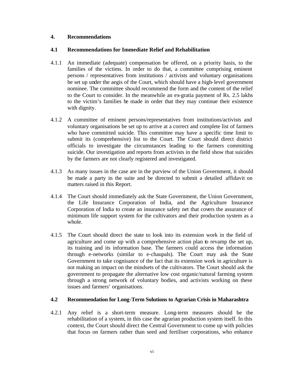## **4. Recommendations**

## **4.1 Recommendations for Immediate Relief and Rehabilitation**

- 4.1.1 An immediate (adequate) compensation be offered, on a priority basis, to the families of the victims. In order to do that, a committee comprising eminent persons / representatives from institutions / activists and voluntary organisations be set up under the aegis of the Court, which should have a high-level government nominee. The committee should recommend the form and the content of the relief to the Court to consider. In the meanwhile an ex-gratia payment of Rs. 2.5 lakhs to the victim's families be made in order that they may continue their existence with dignity.
- 4.1.2 A committee of eminent persons/representatives from institutions/activists and voluntary organisations be set up to arrive at a correct and complete list of farmers who have committed suicide. This committee may have a specific time limit to submit its (comprehensive) list to the Court. The Court should direct district officials to investigate the circumstances leading to the farmers committing suicide. Our investigation and reports from activists in the field show that suicides by the farmers are not clearly registered and investigated.
- 4.1.3 As many issues in the case are in the purview of the Union Government, it should be made a party in the suite and be directed to submit a detailed affidavit on matters raised in this Report.
- 4.1.4 The Court should immediately ask the State Government, the Union Government, the Life Insurance Corporation of India, and the Agriculture Insurance Corporation of India to create an insurance safety net that covers the assurance of minimum life support system for the cultivators and their production system as a whole.
- 4.1.5 The Court should direct the state to look into its extension work in the field of agriculture and come up with a comprehensive action plan to revamp the set up, its training and its information base. The farmers could access the information through e-networks (similar to e-chaupals). The Court may ask the State Government to take cognisance of the fact that its extension work in agriculture is not making an impact on the mindsets of the cultivators. The Court should ask the government to propagate the alternative low cost organic/natural farming system through a strong network of voluntary bodies, and activists working on these issues and farmers' organisations.

#### **4.2 Recommendation for Long-Term Solutions to Agrarian Crisis in Maharashtra**

4.2.1 Any relief is a short-term measure. Long-term measures should be the rehabilitation of a system, in this case the agrarian production system itself. In this context, the Court should direct the Central Government to come up with policies that focus on farmers rather than seed and fertiliser corporations, who enhance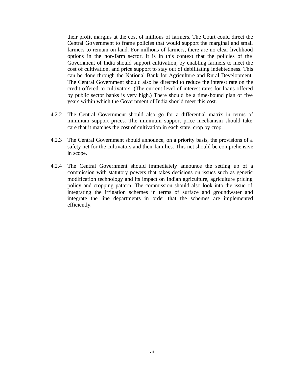their profit margins at the cost of millions of farmers. The Court could direct the Central Government to frame policies that would support the marginal and small farmers to remain on land. For millions of farmers, there are no clear livelihood options in the non-farm sector. It is in this context that the policies of the Government of India should support cultivation, by enabling farmers to meet the cost of cultivation, and price support to stay out of debilitating indebtedness. This can be done through the National Bank for Agriculture and Rural Development. The Central Government should also be directed to reduce the interest rate on the credit offered to cultivators. (The current level of interest rates for loans offered by public sector banks is very high.) There should be a time-bound plan of five years within which the Government of India should meet this cost.

- 4.2.2 The Central Government should also go for a differential matrix in terms of minimum support prices. The minimum support price mechanism should take care that it matches the cost of cultivation in each state, crop by crop.
- 4.2.3 The Central Government should announce, on a priority basis, the provisions of a safety net for the cultivators and their families. This net should be comprehensive in scope.
- 4.2.4 The Central Government should immediately announce the setting up of a commission with statutory powers that takes decisions on issues such as genetic modification technology and its impact on Indian agriculture, agriculture pricing policy and cropping pattern. The commission should also look into the issue of integrating the irrigation schemes in terms of surface and groundwater and integrate the line departments in order that the schemes are implemented efficiently.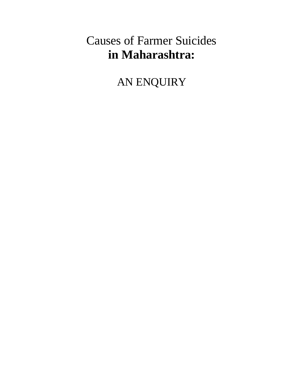# Causes of Farmer Suicides **in Maharashtra:**

AN ENQUIRY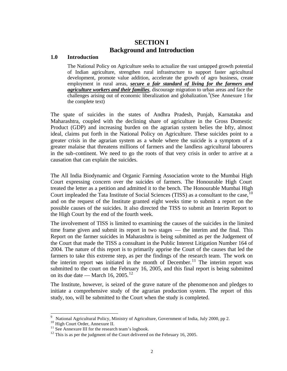## **SECTION I Background and Introduction**

#### **1.0 Introduction**

The National Policy on Agriculture seeks to actualize the vast untapped growth potential of Indian agriculture, strengthen rural infrastructure to support faster agricultural development, promote value addition, accelerate the growth of agro business, create employment in rural areas, *secure a fair standard of living for the farmers and agriculture workers and their families*, discourage migration to urban areas and face the challenges arising out of economic liberalization and globalization. <sup>9</sup> (See Annexure 1 for the complete text)

The spate of suicides in the states of Andhra Pradesh, Punjab, Karnataka and Maharashtra, coupled with the declining share of agriculture in the Gross Domestic Product (GDP) and increasing burden on the agrarian system belies the bfty, almost ideal, claims put forth in the National Policy on Agriculture. These suicides point to a greater crisis in the agrarian system as a whole where the suicide is a symptom of a greater malaise that threatens millions of farmers and the landless agricultural labourers in the sub-continent. We need to go the roots of that very crisis in order to arrive at a causation that can explain the suicides.

The All India Biodynamic and Organic Farming Association wrote to the Mumbai High Court expressing concern over the suicides of farmers. The Honourable High Court treated the letter as a petition and admitted it to the bench. The Honourable Mumbai High Court impleaded the Tata Institute of Social Sciences (TISS) as a consultant to the case, <sup>10</sup> and on the request of the Institute granted eight weeks time to submit a report on the possible causes of the suicides. It also directed the TISS to submit an Interim Report to the High Court by the end of the fourth week.

The involvement of TISS is limited to examining the causes of the suicides in the limited time frame given and submit its report in two stages — the interim and the final. This Report on the farmer suicides in Maharashtra is being submitted as per the Judgement of the Court that made the TISS a consultant in the Public Interest Litigation Number 164 of 2004. The nature of this report is to primarily apprise the Court of the causes that led the farmers to take this extreme step, as per the findings of the research team. The work on the interim report was initiated in the month of December.<sup>11</sup> The interim report was submitted to the court on the February 16, 2005, and this final report is being submitted on its due date — March 16, 2005.<sup>12</sup>

The Institute, however, is seized of the grave nature of the phenomenon and pledges to initiate a comprehensive study of the agrarian production system. The report of this study, too, will be submitted to the Court when the study is completed.

 9 National Agricultural Policy, Ministry of Agriculture, Government of India, July 2000, pp 2.

<sup>&</sup>lt;sup>10</sup> High Court Order, Annexure II.

 $11$  See Annexure III for the research team's logbook.

 $12$  This is as per the judgment of the Court delivered on the February 16, 2005.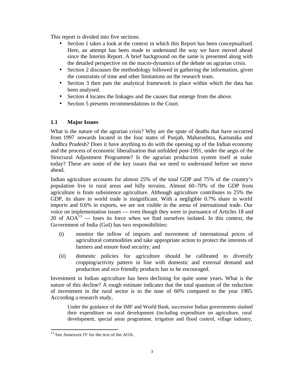This report is divided into five sections.

- Section 1 takes a look at the context in which this Report has been conceptualised. Here, an attempt has been made to understand the way we have moved ahead since the Interim Report. A brief background on the same is presented along with the detailed perspective on the macro-dynamics of the debate on agrarian crisis.
- Section 2 discusses the methodology followed in gathering the information, given the constraints of time and other limitations on the research team.
- Section 3 then puts the analytical framework in place within which the data has been analysed.
- Section 4 locates the linkages and the causes that emerge from the above.
- Section 5 presents recommendations to the Court.

## **1.1 Major Issues**

What is the nature of the agrarian crisis? Why are the spate of deaths that have occurred from 1997 onwards located in the four states of Punjab, Maharashtra, Karnataka and Andhra Pradesh? Does it have anything to do with the opening up of the Indian economy and the process of economic liberalisation that unfolded post-1991, under the aegis of the Structural Adjustment Programme? Is the agrarian production system itself at stake today? These are some of the key issues that we need to understand before we move ahead.

Indian agriculture accounts for almost 25% of the total GDP and 75% of the country's population live in rural areas and hilly terrains. Almost 60–70% of the GDP from agriculture is from subsistence agriculture. Although agriculture contributes to 25% the GDP, its share in world trade is insignificant. With a negligible 0.7% share in world imports and 0.6% in exports, we are not visible in the arena of international trade. Our voice on implementation issues — even though they were in pursuance of Articles 18 and 20 of  $AOA<sup>13</sup>$  — loses its force when we find ourselves isolated. In this context, the Government of India (GoI) has two responsibilities:

- (i) monitor the inflow of imports and movement of international prices of agricultural commodities and take appropriate action to protect the interests of farmers and ensure food security; and
- (ii) domestic policies for agriculture should be calibrated to diversify cropping/activity pattern in line with domestic and external demand and production and eco-friendly products has to be encouraged.

Investment in Indian agriculture has been declining for quite some years. What is the nature of this decline? A rough estimate indicates that the total quantum of the reduction of investment in the rural sector is to the tune of 60% compared to the year 1985. According a research study,

Under the guidance of the IMF and World Bank, successive Indian governments slashed their expenditure on rural development (including expenditure on agriculture, rural development, special areas programme, irrigation and flood control, village industry,

<sup>&</sup>lt;sup>13</sup> See Annexure IV for the text of the AOA.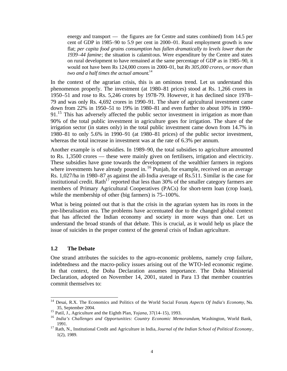energy and transport — the figures are for Centre and states combined) from 14.5 per cent of GDP in 1985–90 to 5.9 per cent in 2000–01. Rural employment growth is now flat; per capita food grains consumption has fallen dramatically to levels lower than the *1939–44 famine*; the situation is calamitous. Were expenditure by the Centre and states on rural development to have remained at the same percentage of GDP as in 1985–90, it would not have been Rs 124,000 crores in 2000–01, but *Rs 305,000 crores, or more than two and a half times the actual amount*. 14

In the context of the agrarian crisis, this is an ominous trend. Let us understand this phenomenon properly. The investment (at 1980–81 prices) stood at Rs. 1,266 crores in 1950–51 and rose to Rs. 5,246 crores by 1978-79. However, it has declined since 1978– 79 and was only Rs. 4,692 crores in 1990–91. The share of agricultural investment came down from 22% in 1950–51 to 19% in 1980–81 and even further to about 10% in 1990–  $91<sup>15</sup>$  This has adversely affected the public sector investment in irrigation as more than 90% of the total public investment in agriculture goes for irrigation. The share of the irrigation sector (in states only) in the total public investment came down from 14.7% in 1980–81 to only 5.6% in 1990–91 (at 1980–81 prices) of the public sector investment, whereas the total increase in investment was at the rate of 6.3% per annum.

Another example is of subsidies. In 1989–90, the total subsidies to agriculture amounted to Rs. 1,3500 crores — these were mainly given on fertilisers, irrigation and electricity. These subsidies have gone towards the development of the wealthier farmers in regions where investments have already poured in.<sup>16</sup> Punjab, for example, received on an average Rs. 1,027/ha in 1980–87 as against the all-India average of Rs.511. Similar is the case for institutional credit.  $Rath^{17}$  reported that less than 30% of the smaller category farmers are members of Primary Agricultural Cooperatives (PACs) for short-term loan (crop loan), while the membership of other (big farmers) is 75–100%.

What is being pointed out that is that the crisis in the agrarian system has its roots in the pre-liberalisation era. The problems have accentuated due to the changed global context that has affected the Indian economy and society in more ways than one. Let us understand the broad strands of that debate. This is crucial, as it would help us place the issue of suicides in the proper context of the general crisis of Indian agriculture.

#### **1.2 The Debate**

l

One strand attributes the suicides to the agro-economic problems, namely crop failure, indebtedness and the macro-policy issues arising out of the WTO-led economic regime. In that context, the Doha Declaration assumes importance. The Doha Ministerial Declaration, adopted on November 14, 2001, stated in Para 13 that member countries commit themselves to:

<sup>14</sup> Desai, R.X. The Economics and Politics of the World Social Forum, *Aspects Of India's Economy,* No. 35, September 2004.

<sup>15</sup> Patil, J., Agriculture and the Eighth Plan, *Yojana*, 37(14–15), 1993.

<sup>16</sup> *India's Challenges and Opportunities: Country Economic Memorandum*, Washington, World Bank, 1991.

<sup>17</sup> Rath, N., Institutional Credit and Agriculture in India, *Journal of the Indian School of Political Economy*, 1(2), 1989.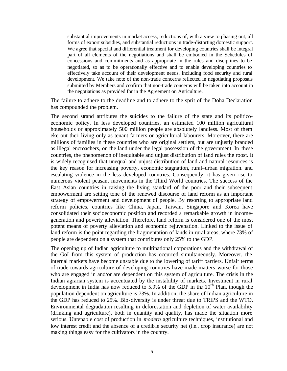substantial improvements in market access, reductions of, with a view to phasing out, all forms of export subsidies, and substantial reductions in trade-distorting domestic support. We agree that special and differential treatment for developing countries shall be integral part of all elements of the negotiations and shall be embodied in the Schedules of concessions and commitments and as appropriate in the rules and disciplines to be negotiated, so as to be operationally effective and to enable developing countries to effectively take account of their development needs, including food security and rural development. We take note of the non-trade concerns reflected in negotiating proposals submitted by Members and confirm that non-trade concerns will be taken into account in the negotiations as provided for in the Agreement on Agriculture.

The failure to adhere to the deadline and to adhere to the sprit of the Doha Declaration has compounded the problem.

The second strand attributes the suicides to the failure of the state and its politicoeconomic policy. In less developed countries, an estimated 100 million agricultural households or approximately 500 million people are absolutely landless. Most of them eke out their living only as tenant farmers or agricultural labourers. Moreover, there are millions of families in these countries who are original settlers, but are unjustly branded as illegal encroachers, on the land under the legal possession of the government. In these countries, the phenomenon of inequitable and unjust distribution of land rules the roost. It is widely recognised that unequal and unjust distribution of land and natural resources is the key reason for increasing poverty, economic stagnation, rural–urban migration. and escalating violence in the less developed countries. Consequently, it has given rise to numerous violent peasant movements in the Third World countries. The success of the East Asian countries in raising the living standard of the poor and their subsequent empowerment are setting tone of the renewed discourse of land reform as an important strategy of empowerment and development of people. By resorting to appropriate land reform policies, countries like China, Japan, Taiwan, Singapore and Korea have consolidated their socioeconomic position and recorded a remarkable growth in incomegeneration and poverty alleviation. Therefore, land reform is considered one of the most potent means of poverty alleviation and economic rejuvenation. Linked to the issue of land reform is the point regarding the fragmentation of lands in rural areas, where 73% of people are dependent on a system that contributes only 25% to the GDP.

The opening up of Indian agriculture to multinational corporations and the withdrawal of the GoI from this system of production has occurred simultaneously. Moreover, the internal markets have become unstable due to the lowering of tariff barriers. Unfair terms of trade towards agriculture of developing countries have made matters worse for those who are engaged in and/or are dependent on this system of agriculture. The crisis in the Indian agrarian system is accentuated by the instability of markets. Investment in rural development in India has now reduced to 5.9% of the GDP in the  $10<sup>th</sup>$  Plan, though the population dependent on agriculture is 73%. In addition, the share of Indian agriculture in the GDP has reduced to 25%. Bio-diversity is under threat due to TRIPS and the WTO. Environmental degradation resulting in deforestation and depletion of water availability (drinking and agriculture), both in quantity and quality, has made the situation more serious. Untenable cost of production in *modern* agriculture techniques, institutional and low interest credit and the absence of a credible security net (i.e., crop insurance) are not making things easy for the cultivators in the country.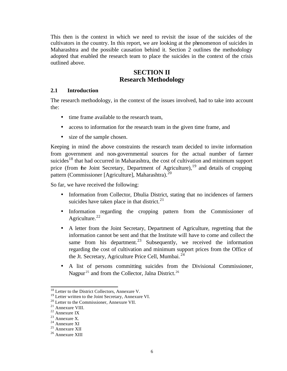This then is the context in which we need to revisit the issue of the suicides of the cultivators in the country. In this report, we are looking at the phenomenon of suicides in Maharashtra and the possible causation behind it. Section 2 outlines the methodology adopted that enabled the research team to place the suicides in the context of the crisis outlined above.

## **SECTION II Research Methodology**

#### **2.1 Introduction**

The research methodology, in the context of the issues involved, had to take into account the:

- time frame available to the research team,
- access to information for the research team in the given time frame, and
- size of the sample chosen.

Keeping in mind the above constraints the research team decided to invite information from government and non-governmental sources for the actual number of farmer suicides<sup>18</sup> that had occurred in Maharashtra, the cost of cultivation and minimum support price (from the Joint Secretary, Department of Agriculture),  $19$  and details of cropping pattern (Commissioner [Agriculture], Maharashtra).<sup>20</sup>

So far, we have received the following:

- Information from Collector, Dhulia District, stating that no incidences of farmers suicides have taken place in that district. $21$
- Information regarding the cropping pattern from the Commissioner of Agriculture. $^{22}$
- A letter from the Joint Secretary, Department of Agriculture, regretting that the information cannot be sent and that the Institute will have to come and collect the same from his department.<sup>23</sup> Subsequently, we received the information regarding the cost of cultivation and minimum support prices from the Office of the Jt. Secretary, Agriculture Price Cell, Mumbai.<sup>24</sup>
- A list of persons committing suicides from the Divisional Commissioner, Nagpur<sup>25</sup> and from the Collector, Jalna District.<sup>26</sup>

<sup>&</sup>lt;sup>18</sup> Letter to the District Collectors, Annexure V.

<sup>&</sup>lt;sup>19</sup> Letter written to the Joint Secretary, Annexure VI.

<sup>20</sup> Letter to the Commissioner, Annexure VII.

<sup>21</sup> Annexure VIII.

<sup>22</sup> Annexure IX

<sup>23</sup> Annexure X.

<sup>24</sup> Annexure XI

<sup>&</sup>lt;sup>25</sup> Annexure XII

<sup>26</sup> Annexure XIII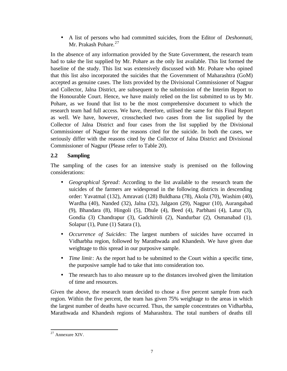• A list of persons who had committed suicides, from the Editor of *Deshonnati*, Mr. Prakash Pohare.<sup>27</sup>

In the absence of any information provided by the State Government, the research team had to take the list supplied by Mr. Pohare as the only list available. This list formed the baseline of the study. This list was extensively discussed with Mr. Pohare who opined that this list also incorporated the suicides that the Government of Maharashtra (GoM) accepted as genuine cases. The lists provided by the Divisional Commissioner of Nagpur and Collector, Jalna District, are subsequent to the submission of the Interim Report to the Honourable Court. Hence, we have mainly relied on the list submitted to us by Mr. Pohare, as we found that list to be the most comprehensive document to which the research team had full access. We have, therefore, utilised the same for this Final Report as well. We have, however, crosschecked two cases from the list supplied by the Collector of Jalna District and four cases from the list supplied by the Divisional Commissioner of Nagpur for the reasons cited for the suicide. In both the cases, we seriously differ with the reasons cited by the Collector of Jalna District and Divisional Commissioner of Nagpur (Please refer to Table 20).

## **2.2 Sampling**

The sampling of the cases for an intensive study is premised on the following considerations:

- *Geographical Spread*: According to the list available to the research team the suicides of the farmers are widespread in the following districts in descending order: Yavatmal (132), Amravati (128) Buldhana (78), Akola (70), Washim (40), Wardha (40), Nanded (32), Jalna (32), Jalgaon (29), Nagpur (10), Aurangabad (9), Bhandara (8), Hingoli (5), Dhule (4), Beed (4), Parbhani (4), Latur (3), Gondia (3) Chandrapur (3), Gadchiroli (2), Nandurbar (2), Osmanabad (1), Solapur (1), Pune (1) Satara (1),
- *Occurrence of Suicides*: The largest numbers of suicides have occurred in Vidharbha region, followed by Marathwada and Khandesh. We have given due weightage to this spread in our purposive sample.
- *Time limit*: As the report had to be submitted to the Court within a specific time, the purposive sample had to take that into consideration too.
- The research has to also measure up to the distances involved given the limitation of time and resources.

Given the above, the research team decided to chose a five percent sample from each region. Within the five percent, the team has given 75% weightage to the areas in which the largest number of deaths have occurred. Thus, the sample concentrates on Vidharbha, Marathwada and Khandesh regions of Maharashtra. The total numbers of deaths till

 $27$  Annexure XIV.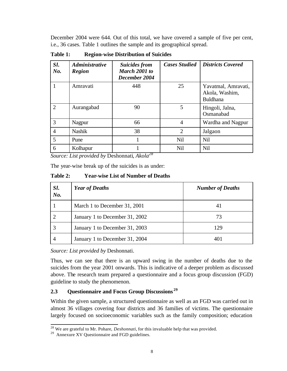December 2004 were 644. Out of this total, we have covered a sample of five per cent, i.e., 36 cases. Table 1 outlines the sample and its geographical spread.

**Table 1: Region-wise Distribution of Suicides**

| Sl.<br>No.     | <b>Administrative</b><br><b>Region</b> | <b>Suicides from</b><br>March 2001 to<br>December 2004 | <b>Cases Studied</b> | <b>Districts Covered</b>                                 |
|----------------|----------------------------------------|--------------------------------------------------------|----------------------|----------------------------------------------------------|
|                | Amravati                               | 448                                                    | 25                   | Yavatmal, Amravati,<br>Akola, Washim,<br><b>Buldhana</b> |
| $\overline{2}$ | Aurangabad                             | 90                                                     | 5                    | Hingoli, Jalna,<br>Osmanabad                             |
| 3              | Nagpur                                 | 66                                                     | $\overline{A}$       | Wardha and Nagpur                                        |
| $\overline{4}$ | <b>Nashik</b>                          | 38                                                     | $\overline{2}$       | Jalgaon                                                  |
| 5              | Pune                                   |                                                        | <b>Nil</b>           | <b>Nil</b>                                               |
| 6              | Kolhapur                               |                                                        | <b>Nil</b>           | <b>Nil</b>                                               |

*Source: List provided by* Deshonnati*, Akola<sup>28</sup>*

The year-wise break up of the suicides is as under:

**Table 2: Year-wise List of Number of Deaths**

| Sl.<br>No. | <b>Year of Deaths</b>          | <b>Number of Deaths</b> |
|------------|--------------------------------|-------------------------|
|            | March 1 to December 31, 2001   | 41                      |
|            | January 1 to December 31, 2002 | 73                      |
|            | January 1 to December 31, 2003 | 129                     |
|            | January 1 to December 31, 2004 | 401                     |

*Source: List provided by* Deshonnati.

Thus, we can see that there is an upward swing in the number of deaths due to the suicides from the year 2001 onwards. This is indicative of a deeper problem as discussed above. The research team prepared a questionnaire and a focus group discussion (FGD) guideline to study the phenomenon.

## **2.3 Questionnaire and Focus Group Discussions <sup>29</sup>**

Within the given sample, a structured questionnaire as well as an FGD was carried out in almost 36 villages covering four districts and 36 families of victims. The questionnaire largely focused on socioeconomic variables such as the family composition; education

<sup>28</sup> We are grateful to Mr. Pohare, *Deshonnati*, for this invaluable help that was provided.

<sup>&</sup>lt;sup>29</sup> Annexure XV Questionnaire and FGD guidelines.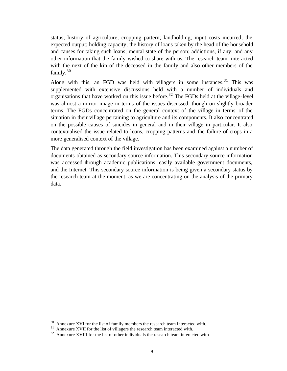status; history of agriculture; cropping pattern; landholding; input costs incurred; the expected output; holding capacity; the history of loans taken by the head of the household and causes for taking such loans; mental state of the person; addictions, if any; and any other information that the family wished to share with us. The research team interacted with the next of the kin of the deceased in the family and also other members of the family. $30$ 

Along with this, an FGD was held with villagers in some instances.<sup>31</sup> This was supplemented with extensive discussions held with a number of individuals and organisations that have worked on this issue before.<sup>32</sup> The FGDs held at the village-level was almost a mirror image in terms of the issues discussed, though on slightly broader terms. The FGDs concentrated on the general context of the village in terms of the situation in their village pertaining to agriculture and its components. It also concentrated on the possible causes of suicides in general and in their village in particular. It also contextualised the issue related to loans, cropping patterns and the failure of crops in a more generalised context of the village.

The data generated through the field investigation has been examined against a number of documents obtained as secondary source information. This secondary source information was accessed through academic publications, easily available government documents, and the Internet. This secondary source information is being given a secondary status by the research team at the moment, as we are concentrating on the analysis of the primary data.

 $30$  Annexure XVI for the list of family members the research team interacted with.

 $31$  Annexure XVII for the list of villagers the research team interacted with.

 $32$  Annexure XVIII for the list of other individuals the research team interacted with.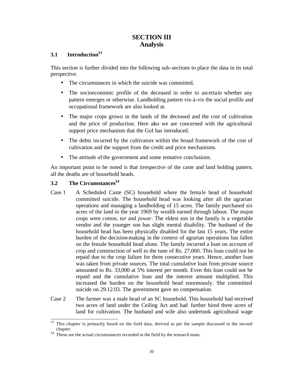## **SECTION III Analysis**

## **3.1 Introduction<sup>33</sup>**

This section is further divided into the following sub-sections to place the data in its total perspective.

- The circumstances in which the suicide was committed.
- The socioeconomic profile of the deceased in order to ascertain whether any pattern emerges or otherwise. Landholding pattern vis-à-vis the social profile and occupational framework are also looked at.
- The major crops grown in the lands of the deceased and the cost of cultivation and the price of production. Here also we are concerned with the agricultural support price mechanism that the GoI has introduced.
- The debts incurred by the cultivators within the broad framework of the cost of cultivation and the support from the credit and price mechanisms.
- The attitude of the government and some tentative conclusions.

An important point to be noted is that irrespective of the caste and land holding pattern, all the deaths are of household heads.

## **3.2 The Circumstances<sup>34</sup>**

- Case 1 A Scheduled Caste (SC) household where the fema le head of household committed suicide. The household head was looking after all the agrarian operations and managing a landholding of 15 acres. The family purchased six acres of the land in the year 1969 by wealth earned through labour. The major crops were cotton, *tur* and *jowar*. The eldest son in the family is a vegetable vendor and the younger son has slight mental disability. The husband of the household head has been physically disabled for the last 15 years. The entire burden of the decision-making in the context of agrarian operations has fallen on the female household head alone. The family incurred a loan on account of crop and construction of well to the tune of Rs. 27,000. This loan could not be repaid due to the crop failure for three consecutive years. Hence, another loan was taken from private sources. The total cumulative loan from private source amounted to Rs. 33,000 at 5% interest per month. Even this loan could not be repaid and the cumulative loan and the interest amount multiplied. This increased the burden on the household head enormously. She committed suicide on 29.12.03. The government gave no compensation.
- Case 2 The farmer was a male head of an SC household. This household had received two acres of land under the Ceiling Act and had further hired three acres of land for cultivation. The husband and wife also undertook agricultural wage

 $3\sqrt{3}$ This chapter is primarily based on the field data, derived as per the sample discussed in the second chapter.

 $34$  These are the actual circumstances recorded in the field by the research team.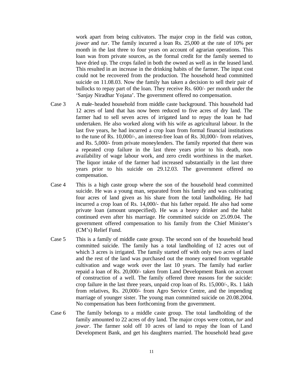work apart from being cultivators. The major crop in the field was cotton, *jowar* and *tur*. The family incurred a loan Rs. 25,000 at the rate of 10% per month in the last three to four years on account of agrarian operations. This loan was from private sources, as the formal credit for the family seemed to have dried up. The crops failed in both the owned as well as in the leased land. This resulted in an increase in the drinking habits of the farmer. The input cost could not be recovered from the production. The household head committed suicide on 11.08.03. Now the family has taken a decision to sell their pair of bullocks to repay part of the loan. They receive Rs. 600/- per month under the 'Sanjay Niradhar Yojana'. The government offered no compensation.

- Case 3 A male-headed household from middle caste background. This household had 12 acres of land that has now been reduced to five acres of dry land. The farmer had to sell seven acres of irrigated land to repay the loan he had undertaken. He also worked along with his wife as agricultural labour. In the last five years, he had incurred a crop loan from formal financial institutions to the tune of Rs. 10,000/-, an interest-free loan of Rs. 30,000/- from relatives, and Rs. 5,000/- from private moneylenders. The family reported that there was a repeated crop failure in the last three years prior to his death, nonavailability of wage labour work, and zero credit worthiness in the market. The liquor intake of the farmer had increased substantially in the last three years prior to his suicide on 29.12.03. The government offered no compensation.
- Case 4 This is a high caste group where the son of the household head committed suicide. He was a young man, separated from his family and was cultivating four acres of land given as his share from the total landholding. He had incurred a crop loan of Rs. 14,000/- that his father repaid. He also had some private loan (amount unspecified). He was a heavy drinker and the habit continued even after his marriage. He committed suicide on 25.09.04. The government offered compensation to his family from the Chief Minister's (CM's) Relief Fund.
- Case 5 This is a family of middle caste group. The second son of the household head committed suicide. The family has a total landholding of 12 acres out of which 3 acres is irrigated. The family started off with only two acres of land and the rest of the land was purchased out the money earned from vegetable cultivation and wage work over the last 10 years. The family had earlier repaid a loan of Rs. 20,000/- taken from Land Development Bank on account of construction of a well. The family offered three reasons for the suicide: crop failure in the last three years, unpaid crop loan of Rs. 15,000/-, Rs. 1 lakh from relatives, Rs. 20,000/- from Agro Service Centre, and the impending marriage of younger sister. The young man committed suicide on 20.08.2004. No compensation has been forthcoming from the government.
- Case 6 The family belongs to a middle caste group. The total landholding of the family amounted to 22 acres of dry land. The major crops were cotton, *tur* and *jowar*. The farmer sold off 10 acres of land to repay the loan of Land Development Bank, and get his daughters married. The household head gave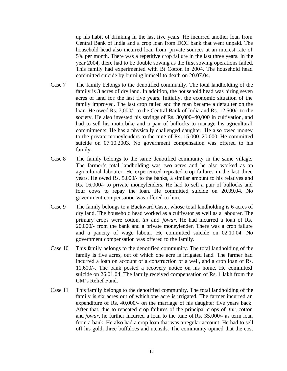up his habit of drinking in the last five years. He incurred another loan from Central Bank of India and a crop loan from DCC bank that went unpaid. The household head also incurred loan from private sources at an interest rate of 5% per month. There was a repetitive crop failure in the last three years. In the year 2004, there had to be double sowing as the first sowing operations failed. This family had experimented with Bt Cotton in 2004. The household head committed suicide by burning himself to death on 20.07.04.

- Case 7 The family belongs to the denotified community. The total landholding of the family is 3 acres of dry land. In addition, the household head was hiring seven acres of land for the last five years. Initially, the economic situation of the family improved. The last crop failed and the man became a defaulter on the loan. He owed Rs. 7,000/- to the Central Bank of India and Rs. 12,500/- to the society. He also invested his savings of Rs. 30,000–40,000 in cultivation, and had to sell his motorbike and a pair of bullocks to manage his agricultural commitments. He has a physically challenged daughter. He also owed money to the private moneylenders to the tune of Rs. 15,000–20,000. He committed suicide on 07.10.2003. No government compensation was offered to his family.
- Case 8 The family belongs to the same denotified community in the same village. The farmer's total landholding was two acres and he also worked as an agricultural labourer. He experienced repeated crop failures in the last three years. He owed Rs. 5,000/- to the banks, a similar amount to his relatives and Rs. 16,000/- to private moneylenders. He had to sell a pair of bullocks and four cows to repay the loan. He committed suicide on 20.09.04. No government compensation was offered to him.
- Case 9 The family belongs to a Backward Caste, whose total landholding is 6 acres of dry land. The household head worked as a cultivator as well as a labourer. The primary crops were cotton, *tur* and *jowar*. He had incurred a loan of Rs. 20,000/- from the bank and a private moneylender. There was a crop failure and a paucity of wage labour. He committed suicide on 02.10.04. No government compensation was offered to the family.
- Case 10 This family belongs to the denotified community. The total landholding of the family is five acres, out of which one acre is irrigated land. The farmer had incurred a loan on account of a construction of a well, and a crop loan of Rs. 11,600/-. The bank posted a recovery notice on his home. He committed suicide on 26.01.04. The family received compensation of Rs. 1 lakh from the CM's Relief Fund.
- Case 11 This family belongs to the denotified community. The total landholding of the family is six acres out of which one acre is irrigated. The farmer incurred an expenditure of Rs. 40,000/- on the marriage of his daughter five years back. After that, due to repeated crop failures of the principal crops of *tur*, cotton and *jowar*, he further incurred a loan to the tune of Rs. 35,000/- as term loan from a bank. He also had a crop loan that was a regular account. He had to sell off his gold, three buffaloes and utensils. The community opined that the cost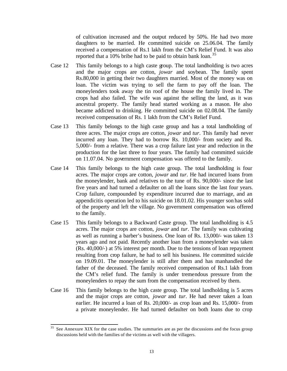of cultivation increased and the output reduced by 50%. He had two more daughters to be married. He committed suicide on 25.06.04. The family received a compensation of Rs.1 lakh from the CM's Relief Fund. It was also reported that a 10% bribe had to be paid to obtain bank loan.<sup>35</sup>

- Case 12 This family belongs to a high caste group. The total landholding is two acres and the major crops are cotton, *jowar* and soybean. The family spent Rs.80,000 in getting their two daughters married. Most of the money was on loan. The victim was trying to sell the farm to pay off the loan. The moneylenders took away the tin roof of the house the family lived in. The crops had also failed. The wife was against the selling the land, as it was ancestral property. The family head started working as a mason. He also became addicted to drinking. He committed suicide on 02.08.04. The family received compensation of Rs. 1 lakh from the CM's Relief Fund.
- Case 13 This family belongs to the high caste group and has a total landholding of three acres. The major crops are cotton, *jowar* and *tur*. This family had never incurred any loan. They had to borrow Rs. 10,000/- from society and Rs. 5,000/- from a relative. There was a crop failure last year and reduction in the production for the last three to four years. The family had committed suicide on 11.07.04. No government compensation was offered to the family.
- Case 14 This family belongs to the high caste group. The total landholding is four acres. The major crops are cotton, *jowar* and *tur*. He had incurred loans from the moneylender, bank and relatives to the tune of Rs. 90,000/- since the last five years and had turned a defaulter on all the loans since the last four years. Crop failure, compounded by expenditure incurred due to marriage, and an appendicitis operation led to his suicide on 18.01.02. His younger son has sold of the property and left the village. No government compensation was offered to the family.
- Case 15 This family belongs to a Backward Caste group. The total landholding is 4.5 acres. The major crops are cotton, *jowar* and *tur*. The family was cultivating as well as running a barber's business. One loan of Rs. 13,000/- was taken 13 years ago and not paid. Recently another loan from a moneylender was taken (Rs. 40,000/-) at 5% interest per month. Due to the tensions of loan repayment resulting from crop failure, he had to sell his business. He committed suicide on 19.09.01. The moneylender is still after them and has manhandled the father of the deceased. The family received compensation of Rs.1 lakh from the CM's relief fund. The family is under tremendous pressure from the moneylenders to repay the sum from the compensation received by them.
- Case 16 This family belongs to the high caste group. The total landholding is 5 acres and the major crops are cotton, *jowar* and *tur*. He had never taken a loan earlier. He incurred a loan of Rs. 20,000/- as crop loan and Rs. 15,000/- from a private moneylender. He had turned defaulter on both loans due to crop

<sup>35</sup> See Annexure XIX for the case studies. The summaries are as per the discussions and the focus group discussions held with the families of the victims as well with the villagers.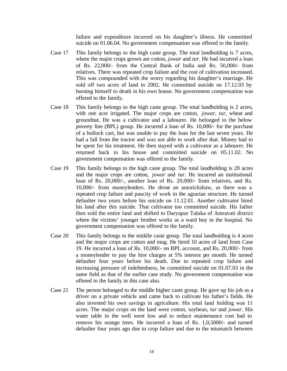failure and expenditure incurred on his daughter's illness. He committed suicide on 01.06.04. No government compensation was offered to the family.

- Case 17 This family belongs to the high caste group. The total landholding is 7 acres, where the major crops grown are cotton, *jowar* and *tur*. He had incurred a loan of Rs. 22,000/- from the Central Bank of India and Rs. 50,000/- from relatives. There was repeated crop failure and the cost of cultivation increased. This was compounded with the worry regarding his daughter's marriage. He sold off two acres of land in 2002. He committed suicide on 17.12.03 by burning himself to death in his own house. No government compensation was offered to the family.
- Case 18 This family belongs to the high caste group. The total landholding is 2 acres, with one acre irrigated. The major crops are cotton, *jowar*, *tur*, wheat and groundnut. He was a cultivator and a labourer. He belonged to the below poverty line (BPL) group. He incurred a loan of Rs. 10,000/- for the purchase of a bullock cart, but was unable to pay the loan for the last seven years. He had a fall from the tractor and was not able to work after that. Money had to be spent for his treatment. He then stayed with a cultivator as a labourer. He returned back to his house and committed suicide on 05.11.02. No government compensation was offered to the family.
- Case 19 This family belongs to the high caste group. The total landholding is 20 acres and the major crops are cotton, *jowar* and *tur*. He incurred an institutional loan of Rs. 20,000/-, another loan of Rs. 20,000/- from relatives, and Rs. 10,000/- from moneylenders. He drove an autorickshaw, as there was a repeated crop failure and paucity of work in the agrarian structure. He turned defaulter two years before his suicide on 11.12.01. Another cultivator hired his land after this suicide. That cultivator too committed suicide. His father then sold the entire land and shifted to Daryapur Taluka of Amravati district where the victims' younger brother works as a ward boy in the hospital. No government compensation was offered to the family.
- Case 20 This family belongs to the middle caste group. The total landholding is 4 acres and the major crops are cotton and mug. He hired 10 acres of land from Case 19. He incurred a loan of Rs. 10,000/- on BPL account, and Rs. 20,000/- from a moneylender to pay the hire charges at 5% interest per month. He turned defaulter four years before his death. Due to repeated crop failure and increasing pressure of indebtedness, he committed suicide on 01.07.03 in the same field as that of the earlier case study. No government compensation was offered to the family in this case also.
- Case 21 The person belonged to the middle higher caste group. He gave up his job as a driver on a private vehicle and came back to cultivate his father's fields. He also invested his own savings in agriculture. His total land holding was 11 acres. The major crops on the land were cotton, soybean, *tur* and *jowar*. His water table in the well went low and to reduce maintenance cost had to remove his orange trees. He incurred a loan of Rs. 1,0,5000/- and turned defaulter four years ago due to crop failure and due to the mismatch between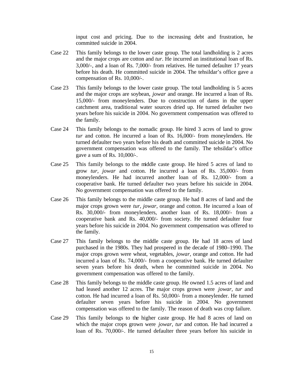input cost and pricing. Due to the increasing debt and frustration, he committed suicide in 2004.

- Case 22 This family belongs to the lower caste group. The total landholding is 2 acres and the major crops are cotton and *tur*. He incurred an institutional loan of Rs. 3,000/-, and a loan of Rs. 7,000/- from relatives. He turned defaulter 17 years before his death. He committed suicide in 2004. The tehsildar's office gave a compensation of Rs. 10,000/-.
- Case 23 This family belongs to the lower caste group. The total landholding is 5 acres and the major crops are soybean, *jowar* and orange. He incurred a loan of Rs. 15,000/- from moneylenders. Due to construction of dams in the upper catchment area, traditional water sources dried up. He turned defaulter two years before his suicide in 2004. No government compensation was offered to the family.
- Case 24 This family belongs to the nomadic group. He hired 3 acres of land to grow *tur* and cotton. He incurred a loan of Rs. 16,000/- from moneylenders. He turned defaulter two years before his death and committed suicide in 2004. No government compensation was offered to the family. The tehsildar's office gave a sum of Rs. 10,000/-.
- Case 25 This family belongs to the middle caste group. He hired 5 acres of land to grow *tur*, *jowar* and cotton. He incurred a loan of Rs. 35,000/- from moneylenders. He had incurred another loan of Rs. 12,000/- from a cooperative bank. He turned defaulter two years before his suicide in 2004. No government compensation was offered to the family.
- Case 26 This family belongs to the middle caste group. He had 8 acres of land and the major crops grown were *tur, jowar*, orange and cotton. He incurred a loan of Rs. 30,000/- from moneylenders, another loan of Rs. 18,000/- from a cooperative bank and Rs. 40,000/- from society. He turned defaulter four years before his suicide in 2004. No government compensation was offered to the family.
- Case 27 This family belongs to the middle caste group. He had 18 acres of land purchased in the 1980s. They had prospered in the decade of 1980–1990. The major crops grown were wheat, vegetables, *jowar*, orange and cotton. He had incurred a loan of Rs. 74,000/- from a cooperative bank. He turned defaulter seven years before his death, when he committed suicide in 2004. No government compensation was offered to the family.
- Case 28 This family belongs to the middle caste group. He owned 1.5 acres of land and had leased another 12 acres. The major crops grown were *jowar, tur* and cotton. He had incurred a loan of Rs. 50,000/- from a moneylender. He turned defaulter seven years before his suicide in 2004. No government compensation was offered to the family. The reason of death was crop failure.
- Case 29 This family belongs to the higher caste group. He had 8 acres of land on which the major crops grown were *jowar, tur* and cotton. He had incurred a loan of Rs. 70,000/-. He turned defaulter three years before his suicide in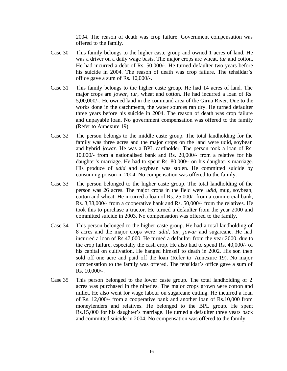2004. The reason of death was crop failure. Government compensation was offered to the family.

- Case 30 This family belongs to the higher caste group and owned 1 acres of land. He was a driver on a daily wage basis. The major crops are wheat, *tur* and cotton. He had incurred a debt of Rs. 50,000/-. He turned defaulter two years before his suicide in 2004. The reason of death was crop failure. The tehsildar's office gave a sum of Rs. 10,000/-.
- Case 31 This family belongs to the higher caste group. He had 14 acres of land. The major crops are *jowar, tur*, wheat and cotton. He had incurred a loan of Rs. 5,00,000/-. He owned land in the command area of the Girna River. Due to the works done in the catchments, the water sources ran dry. He turned defaulter three years before his suicide in 2004. The reason of death was crop failure and unpayable loan. No government compensation was offered to the family (Refer to Annexure 19).
- Case 32 The person belongs to the middle caste group. The total landholding for the family was three acres and the major crops on the land were udid, soybean and hybrid *jowar*. He was a BPL cardholder. The person took a loan of Rs. 10,000/- from a nationalised bank and Rs. 20,000/- from a relative for his daughter's marriage. He had to spent Rs. 80,000/- on his daughter's marriage. His produce of *udid* and soybean was stolen. He committed suicide by consuming poison in 2004. No compensation was offered to the family.
- Case 33 The person belonged to the higher caste group. The total landholding of the person was 26 acres. The major crops in the field were *udid*, mug, soybean, cotton and wheat. He incurred a loan of Rs. 25,000/- from a commercial bank, Rs. 3,38,000/- from a cooperative bank and Rs. 50,000/- from the relatives. He took this to purchase a tractor. He turned a defaulter from the year 2000 and committed suicide in 2003. No compensation was offered to the family.
- Case 34 This person belonged to the higher caste group. He had a total landholding of 8 acres and the major crops were *udid, tur, jowar* and sugarcane. He had incurred a loan of Rs.47,000. He turned a defaulter from the year 2000, due to the crop failure, especially the cash crop. He also had to spend Rs. 40,000/- of his capital on cultivation. He hanged himself to death in 2002. His son then sold off one acre and paid off the loan (Refer to Annexure 19). No major compensation to the family was offered. The tehsildar's office gave a sum of Rs. 10,000/-.
- Case 35 This person belonged to the lower caste group. The total landholding of 2 acres was purchased in the nineties. The major crops grown were cotton and millet. He also went for wage labour on sugarcane cutting. He incurred a loan of Rs. 12,000/- from a cooperative bank and another loan of Rs.10,000 from moneylenders and relatives. He belonged to the BPL group. He spent Rs.15,000 for his daughter's marriage. He turned a defaulter three years back and committed suicide in 2004. No compensation was offered to the family.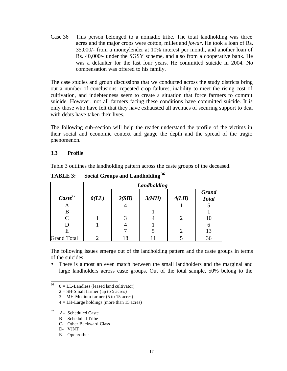Case 36 This person belonged to a nomadic tribe. The total landholding was three acres and the major crops were cotton, millet and *jowar*. He took a loan of Rs. 35,000/- from a moneylender at 10% interest per month, and another loan of Rs. 40,000/- under the SGSY scheme, and also from a cooperative bank. He was a defaulter for the last four years. He committed suicide in 2004. No compensation was offered to his family.

The case studies and group discussions that we conducted across the study districts bring out a number of conclusions: repeated crop failures, inability to meet the rising cost of cultivation, and indebtedness seem to create a situation that force farmers to commit suicide. However, not all farmers facing these conditions have committed suicide. It is only those who have felt that they have exhausted all avenues of securing support to deal with debts have taken their lives.

The following sub-section will help the reader understand the profile of the victims in their social and economic context and gauge the depth and the spread of the tragic phenomenon.

#### **3.3 Profile**

Table 3 outlines the landholding pattern across the caste groups of the deceased.

|                     | Landholding      |       |       |                |                              |  |  |  |  |
|---------------------|------------------|-------|-------|----------------|------------------------------|--|--|--|--|
| $\text{Caste}^{37}$ | $\mathbf{0}(LL)$ | 2(SH) | 3(MH) | 4(LH)          | <b>Grand</b><br><b>Total</b> |  |  |  |  |
| A                   |                  | 4     |       |                |                              |  |  |  |  |
| B                   |                  |       |       |                |                              |  |  |  |  |
| C                   |                  | 3     |       | $\overline{c}$ | 10                           |  |  |  |  |
|                     |                  |       |       |                | 6                            |  |  |  |  |
| E                   |                  |       |       | ി              | 13                           |  |  |  |  |
| <b>Grand Total</b>  |                  | 18    |       |                | 36                           |  |  |  |  |

**TABLE 3: Social Groups and Landholding<sup>36</sup>**

The following issues emerge out of the landholding pattern and the caste groups in terms of the suicides:

• There is almost an even match between the small landholders and the marginal and large landholders across caste groups. Out of the total sample, 50% belong to the

- $3 = MH-Medium farmer (5 to 15 acres)$
- $4 = LH-Large$  holdings (more than 15 acres)

## <sup>37</sup> A- Scheduled Caste

- B- Scheduled Tribe
- C- Other Backward Class
- D- VJNT
- E- Open/other

<sup>36</sup>  $0 = LL$ -Landless (leased land cultivator)

 $2 = SH-Small$  farmer (up to 5 acres)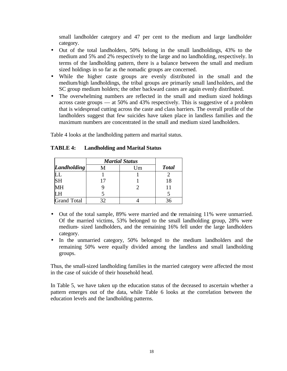small landholder category and 47 per cent to the medium and large landholder category.

- Out of the total landholders, 50% belong in the small landholdings, 43% to the medium and 5% and 2% respectively to the large and no landholding, respectively. In terms of the landholding pattern, there is a balance between the small and medium sized holdings in so far as the nomadic groups are concerned.
- While the higher caste groups are evenly distributed in the small and the medium/high landholdings, the tribal groups are primarily small landholders, and the SC group medium holders; the other backward castes are again evenly distributed.
- The overwhelming numbers are reflected in the small and medium sized holdings across caste groups — at 50% and 43% respectively. This is suggestive of a problem that is widespread cutting across the caste and class barriers. The overall profile of the landholders suggest that few suicides have taken place in landless families and the maximum numbers are concentrated in the small and medium sized landholders.

Table 4 looks at the landholding pattern and marital status.

| TABLE 4: | <b>Landholding and Marital Status</b> |  |  |
|----------|---------------------------------------|--|--|
|----------|---------------------------------------|--|--|

|                    | <b>Martial Status</b> |    |              |
|--------------------|-----------------------|----|--------------|
| Landholding        |                       | Jm | <b>Total</b> |
|                    |                       |    |              |
| <b>SH</b>          |                       |    | 18           |
| MН                 |                       |    |              |
|                    |                       |    |              |
| <b>Grand Total</b> |                       |    |              |

- Out of the total sample, 89% were married and the remaining 11% were unmarried. Of the married victims, 53% belonged to the small landholding group, 28% were medium- sized landholders, and the remaining 16% fell under the large landholders category.
- In the unmarried category, 50% belonged to the medium landholders and the remaining 50% were equally divided among the landless and small landholding groups.

Thus, the small-sized landholding families in the married category were affected the most in the case of suicide of their household head.

In Table 5, we have taken up the education status of the deceased to ascertain whether a pattern emerges out of the data, while Table 6 looks at the correlation between the education levels and the landholding patterns.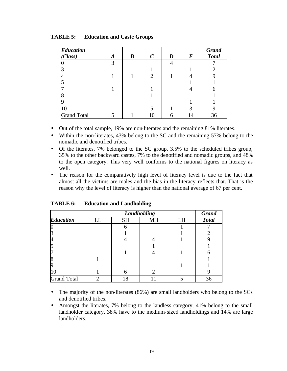| <b>Education</b><br>(Class) | A | $\boldsymbol{B}$ | $\boldsymbol{C}$ | D | $\bm E$ | <b>Grand</b><br><b>Total</b> |
|-----------------------------|---|------------------|------------------|---|---------|------------------------------|
|                             | 3 |                  |                  | 4 |         |                              |
|                             |   |                  |                  |   |         |                              |
|                             |   |                  | 2                |   |         |                              |
|                             |   |                  |                  |   |         |                              |
|                             |   |                  |                  |   |         |                              |
|                             |   |                  |                  |   |         |                              |
|                             |   |                  |                  |   |         |                              |
|                             |   |                  |                  |   | 3       |                              |
| <b>Grand Total</b>          | 5 |                  | 10               | 6 | 14      | 36                           |

**TABLE 5: Education and Caste Groups**

- Out of the total sample, 19% are non-literates and the remaining 81% literates.
- Within the non-literates, 43% belong to the SC and the remaining 57% belong to the nomadic and denotified tribes.
- Of the literates, 7% belonged to the SC group, 3.5% to the scheduled tribes group, 35% to the other backward castes, 7% to the denotified and nomadic groups, and 48% to the open category. This very well conforms to the national figures on literacy as well.
- The reason for the comparatively high level of literacy level is due to the fact that almost all the victims are males and the bias in the literacy reflects that. That is the reason why the level of literacy is higher than the national average of 67 per cent.

|                    |    | <b>Grand</b> |                       |    |              |
|--------------------|----|--------------|-----------------------|----|--------------|
| <b>Education</b>   | LL | <b>SH</b>    | MH                    | LH | <b>Total</b> |
|                    |    | 6            |                       |    |              |
|                    |    |              |                       |    |              |
|                    |    |              |                       |    |              |
|                    |    |              |                       |    |              |
|                    |    |              |                       |    |              |
|                    |    |              |                       |    |              |
|                    |    |              |                       |    |              |
| 10                 |    | 6            | $\mathcal{D}_{\cdot}$ |    |              |
| <b>Grand Total</b> | ◠  | 18           |                       |    | 36           |

**TABLE 6: Education and Landholding**

- The majority of the non-literates (86%) are small landholders who belong to the SCs and denotified tribes.
- Amongst the literates, 7% belong to the landless category, 41% belong to the small landholder category, 38% have to the medium-sized landholdings and 14% are large landholders.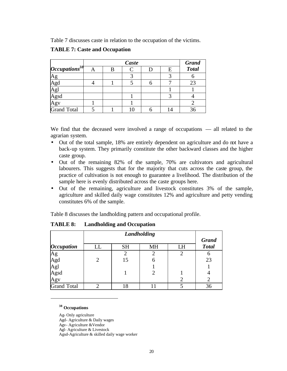Table 7 discusses caste in relation to the occupation of the victims.

|                      | Caste |  |  |   |              |  |  |
|----------------------|-------|--|--|---|--------------|--|--|
| $ Occupations^{38} $ | В     |  |  | Ε | <b>Total</b> |  |  |
| <u>Ag</u>            |       |  |  |   |              |  |  |
| Agd<br>Agl<br>Agsd   |       |  |  |   | 23           |  |  |
|                      |       |  |  |   |              |  |  |
|                      |       |  |  |   |              |  |  |
| Agv                  |       |  |  |   |              |  |  |
| <b>Grand Total</b>   |       |  |  |   | 36           |  |  |

#### **TABLE 7: Caste and Occupation**

We find that the deceased were involved a range of occupations — all related to the agrarian system.

- Out of the total sample, 18% are entirely dependent on agriculture and do mt have a back-up system. They primarily constitute the other backward classes and the higher caste group.
- Out of the remaining 82% of the sample, 70% are cultivators and agricultural labourers. This suggests that for the majority that cuts across the caste group, the practice of cultivation is not enough to guarantee a livelihood. The distribution of the sample here is evenly distributed across the caste groups here.
- Out of the remaining, agriculture and livestock constitutes 3% of the sample, agriculture and skilled daily wage constitutes 12% and agriculture and petty vending constitutes 6% of the sample.

Table 8 discusses the landholding pattern and occupational profile.

|                          | Landholding |                       |   |  |    |  |  |  |  |  |
|--------------------------|-------------|-----------------------|---|--|----|--|--|--|--|--|
| <i><b>Occupation</b></i> | LL          | <b>SH</b><br>LH<br>MH |   |  |    |  |  |  |  |  |
|                          |             |                       |   |  |    |  |  |  |  |  |
|                          | 2           | 15                    | 6 |  | 23 |  |  |  |  |  |
| Ag<br>Agd<br>Agl<br>Agsd |             |                       |   |  |    |  |  |  |  |  |
|                          |             |                       |   |  |    |  |  |  |  |  |
| Agv                      |             |                       |   |  |    |  |  |  |  |  |
| <b>Grand Total</b>       |             | 18                    |   |  | 36 |  |  |  |  |  |

**TABLE 8: Landholding and Occupation**

**<sup>38</sup> Occupations**

l

Ag- Only agriculture

Agd- Agriculture & Daily wages

Agv- Agriculture &Vendor

Agl- Agriculture & Livestock

Agsd-Agriculture & skilled daily wage worker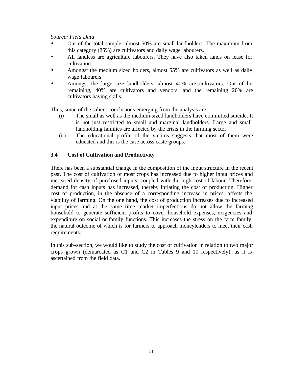*Source: Field Data*

- Out of the total sample, almost 50% are small landholders. The maximum from this category (85%) are cultivators and daily wage labourers.
- All landless are agriculture labourers. They have also taken lands on lease for cultivation.
- Amongst the medium sized holders, almost 55% are cultivators as well as daily wage labourers.
- Amongst the large size landholders, almost 40% are cultivators. Out of the remaining, 40% are cultivators and vendors, and the remaining 20% are cultivators having skills.

Thus, some of the salient conclusions emerging from the analysis are:

- (i) The small as well as the medium-sized landholders have committed suicide. It is not just restricted to small and marginal landholders. Large and small landholding families are affected by the crisis in the farming sector.
- (ii) The educational profile of the victims suggests that most of them were educated and this is the case across caste groups.

#### **3.4 Cost of Cultivation and Productivity**

There has been a substantial change in the composition of the input structure in the recent past. The cost of cultivation of most crops has increased due to higher input prices and increased density of purchased inputs, coupled with the high cost of labour. Therefore, demand for cash inputs has increased, thereby inflating the cost of production. Higher cost of production, in the absence of a corresponding increase in prices, affects the viability of farming. On the one hand, the cost of production increases due to increased input prices and at the same time market imperfections do not allow the farming household to generate sufficient profits to cover household expenses, exigencies and expenditure on social or family functions. This increases the stress on the farm family, the natural outcome of which is for farmers to approach moneylenders to meet their cash requirements.

In this sub-section, we would like to study the cost of cultivation in relation to two major crops grown (demarcated as C1 and C2 in Tables 9 and 10 respectively), as it is ascertained from the field data.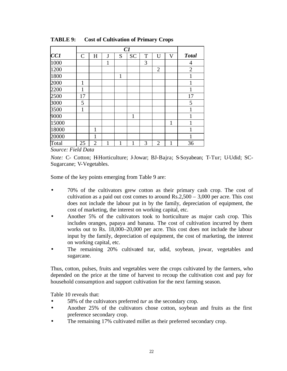|       |               | C1             |   |             |           |   |                |   |                |
|-------|---------------|----------------|---|-------------|-----------|---|----------------|---|----------------|
| CC1   | $\mathcal{C}$ | H              | J | S           | <b>SC</b> | T | U              | V | <b>Total</b>   |
| 1000  |               |                | 1 |             |           | 3 |                |   | 4              |
| 1200  |               |                |   |             |           |   | $\overline{2}$ |   | $\overline{2}$ |
| 1800  |               |                |   | $\mathbf 1$ |           |   |                |   | 1              |
| 2000  | 1             |                |   |             |           |   |                |   | 1              |
| 2200  | $\mathbf{1}$  |                |   |             |           |   |                |   | 1              |
| 2500  | 17            |                |   |             |           |   |                |   | 17             |
| 3000  | 5             |                |   |             |           |   |                |   | 5              |
| 3500  | $\mathbf{1}$  |                |   |             |           |   |                |   | 1              |
| 9000  |               |                |   |             | 1         |   |                |   | 1              |
| 15000 |               |                |   |             |           |   |                | 1 | 1              |
| 18000 |               | 1              |   |             |           |   |                |   | 1              |
| 20000 |               | 1              |   |             |           |   |                |   | 1              |
| Total | 25            | $\overline{2}$ | 1 | 1           | 1         | 3 | $\overline{2}$ | 1 | 36             |

**TABLE 9: Cost of Cultivation of Primary Crops**

*Source: Field Data*

*Note:* C- Cotton; H-Horticulture; J-Jowar; BJ-Bajra; S-Soyabean; T-Tur; U-Udid; SC-Sugarcane; V-Vegetables.

Some of the key points emerging from Table 9 are:

- 70% of the cultivators grew cotton as their primary cash crop. The cost of cultivation as a paid out cost comes to around Rs.2,500 – 3,000 per acre. This cost does not include the labour put in by the family, depreciation of equipment, the cost of marketing, the interest on working capital, etc.
- Another 5% of the cultivators took to horticulture as major cash crop. This includes oranges, papaya and banana. The cost of cultivation incurred by them works out to Rs. 18,000–20,000 per acre. This cost does not include the labour input by the family, depreciation of equipment, the cost of marketing, the interest on working capital, etc.
- The remaining 20% cultivated tur, udid, soybean, jowar, vegetables and sugarcane.

Thus, cotton, pulses, fruits and vegetables were the crops cultivated by the farmers, who depended on the price at the time of harvest to recoup the cultivation cost and pay for household consumption and support cultivation for the next farming season.

Table 10 reveals that:

- 58% of the cultivators preferred *tur* as the secondary crop.
- Another 25% of the cultivators chose cotton, soybean and fruits as the first preference secondary crop.
- The remaining 17% cultivated millet as their preferred secondary crop.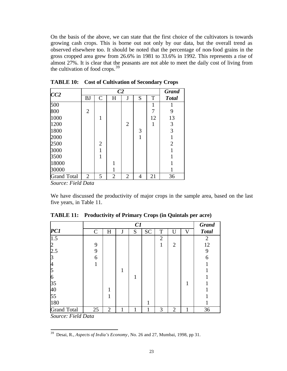On the basis of the above, we can state that the first choice of the cultivators is towards growing cash crops. This is borne out not only by our data, but the overall trend as observed elsewhere too. It should be noted that the percentage of non-food grains in the gross cropped area grew from 26.6% in 1981 to 33.6% in 1992. This represents a rise of almost 27%. It is clear that the peasants are not able to meet the daily cost of living from the cultivation of food crops. $39$ 

| CC2                |                | <b>Grand</b>   |           |                |   |    |                |
|--------------------|----------------|----------------|-----------|----------------|---|----|----------------|
|                    | <b>BJ</b>      | $\mathsf{C}$   | $H_{\rm}$ | J              | S | T  | <b>Total</b>   |
| 500                |                |                |           |                |   | 1  |                |
| 800                | $\overline{2}$ |                |           |                |   | 7  | 9              |
| 1000               |                | 1              |           |                |   | 12 | 13             |
| 1200               |                |                |           | $\overline{2}$ |   | 1  | 3              |
| 1800               |                |                |           |                | 3 |    | 3              |
| 2000               |                |                |           |                | 1 |    | $\mathbf{1}$   |
| 2500               |                | $\overline{2}$ |           |                |   |    | $\overline{2}$ |
| 3000               |                | 1              |           |                |   |    | 1              |
| 3500               |                | 1              |           |                |   |    |                |
| 18000              |                |                |           |                |   |    |                |
| 30000              |                |                |           |                |   |    |                |
| <b>Grand Total</b> | $\overline{2}$ | 5              | 2         | 2              | 4 | 21 | 36             |

**TABLE 10: Cost of Cultivation of Secondary Crops**

*Source: Field Data*

l

We have discussed the productivity of major crops in the sample area, based on the last five years, in Table 11.

|                    |             |                |   | C1 |           |                |                |             | <b>Grand</b> |
|--------------------|-------------|----------------|---|----|-----------|----------------|----------------|-------------|--------------|
| PC1                | $\mathbf C$ | H              | J | S  | <b>SC</b> | T              | U              | $\mathbf V$ | <b>Total</b> |
| 1.5                |             |                |   |    |           | $\overline{2}$ |                |             | 2            |
|                    | 9           |                |   |    |           |                | $\overline{2}$ |             | 12           |
| 2.5                | 9           |                |   |    |           |                |                |             | 9            |
| ß                  | 6           |                |   |    |           |                |                |             | 6            |
| 4                  |             |                |   |    |           |                |                |             |              |
|                    |             |                |   |    |           |                |                |             |              |
| 6                  |             |                |   |    |           |                |                |             |              |
| 35                 |             |                |   |    |           |                |                |             |              |
| 40                 |             |                |   |    |           |                |                |             |              |
| 55                 |             |                |   |    |           |                |                |             |              |
| 180                |             |                |   |    | 1         |                |                |             |              |
| <b>Grand Total</b> | 25          | $\overline{2}$ |   | 1  | 1         | 3              | $\overline{2}$ | 1           | 36           |
| Source: Field Data |             |                |   |    |           |                |                |             |              |

**TABLE 11: Productivity of Primary Crops (in Quintals per acre)**

<sup>39</sup> Desai, R., *Aspects of India's Economy*, No. 26 and 27, Mumbai, 1998, pp 31.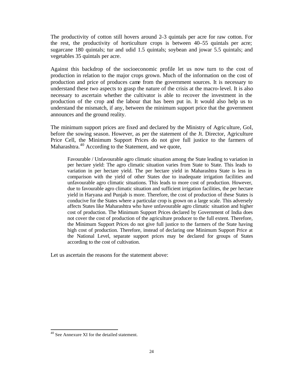The productivity of cotton still hovers around 2–3 quintals per acre for raw cotton. For the rest, the productivity of horticulture crops is between 40–55 quintals per acre; sugarcane 180 quintals; tur and udid 1.5 quintals; soybean and jowar 5.5 quintals; and vegetables 35 quintals per acre.

Against this backdrop of the socioeconomic profile let us now turn to the cost of production in relation to the major crops grown. Much of the information on the cost of production and price of produces came from the government sources. It is necessary to understand these two aspects to grasp the nature of the crisis at the macro-level. It is also necessary to ascertain whether the cultivator is able to recover the investment in the production of the crop and the labour that has been put in. It would also help us to understand the mismatch, if any, between the minimum support price that the government announces and the ground reality.

The minimum support prices are fixed and declared by the Ministry of Agriculture, GoI, before the sowing season. However, as per the statement of the Jt. Director, Agriculture Price Cell, the Minimum Support Prices do not give full justice to the farmers of Maharashtra.<sup>40</sup> According to the Statement, and we quote,

Favourable / Unfavourable agro climatic situation among the State leading to variation in per hectare yield: The agro climatic situation varies from State to State. This leads to variation in per hectare yield. The per hectare yield in Maharashtra State is less in comparison with the yield of other States due to inadequate irrigation facilities and unfavourable agro climatic situations. This leads to more cost of production. However, due to favourable agro climatic situation and sufficient irrigation facilities, the per hectare yield in Haryana and Punjab is more. Therefore, the cost of production of these States is conducive for the States where a particular crop is grown on a large scale. This adversely affects States like Maharashtra who have unfavourable agro climatic situation and higher cost of production. The Minimum Support Prices declared by Government of India does not cover the cost of production of the agriculture producer to the full extent. Therefore, the Minimum Support Prices do not give full justice to the farmers of the State having high cost of production. Therefore, instead of declaring one Minimum Support Price at the National Level, separate support prices may be declared for groups of States according to the cost of cultivation.

Let us ascertain the reasons for the statement above:

<sup>40</sup> See Annexure XI for the detailed statement.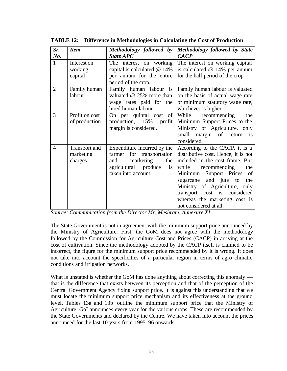| Sr.            | <b>Item</b>          | Methodology followed by                         | Methodology followed by State            |
|----------------|----------------------|-------------------------------------------------|------------------------------------------|
| No.            |                      | <b>State APC</b>                                | <b>CACP</b>                              |
| $\mathbf{1}$   | Interest on          | The interest on working                         | The interest on working capital          |
|                | working              | capital is calculated $@14\%$                   | is calculated $@14%$ per annum           |
|                | capital              | per annum for the entire<br>period of the crop. | for the half period of the crop          |
| $\overline{2}$ | Family human         | Family human labour is                          | Family human labour is valuated          |
|                | labour               | valuated $@$ 25% more than                      | on the basis of actual wage rate         |
|                |                      | wage rates paid for the                         | or minimum statutory wage rate,          |
|                |                      | hired human labour.                             | whichever is higher.                     |
| 3              | Profit on cost       | On per quintal cost of                          | While recommending<br>the                |
|                | of production        | production, 15% profit                          | Minimum Support Prices to the            |
|                |                      | margin is considered.                           | Ministry of Agriculture, only            |
|                |                      |                                                 | small margin of return is<br>considered. |
| $\overline{4}$ | <b>Transport</b> and | Expenditure incurred by the                     | According to the CACP, it is a           |
|                | marketing            | farmer for transportation                       | distributive cost. Hence, it is not      |
|                | charges              | marketing<br>the  <br>and                       | included in the cost frame. But          |
|                |                      | produce<br>agricultural<br>is                   | while<br>recommending<br>the             |
|                |                      | taken into account.                             | Support Prices of<br>Minimum             |
|                |                      |                                                 | and jute to<br>the<br>sugarcane          |
|                |                      |                                                 | Ministry of Agriculture, only            |
|                |                      |                                                 | transport cost is considered             |
|                |                      |                                                 | whereas the marketing cost is            |
|                |                      |                                                 | not considered at all.                   |

**TABLE 12: Difference in Methodologies in Calculating the Cost of Production**

*Source: Communication from the Director Mr. Meshram, Annexure XI*

The State Government is not in agreement with the minimum support price announced by the Ministry of Agriculture. First, the GoM does not agree with the methodology followed by the Commission for Agriculture Cost and Prices (CACP) in arriving at the cost of cultivation. Since the methodology adopted by the CACP itself is claimed to be incorrect, the figure for the minimum support price recommended by it is wrong. It does not take into account the specificities of a particular region in terms of agro climatic conditions and irrigation networks.

What is unstated is whether the GoM has done anything about correcting this anomaly that is the difference that exists between its perception and that of the perception of the Central Government Agency fixing support price. It is against this understanding that we must locate the minimum support price mechanism and its effectiveness at the ground level. Tables 13a and 13b outline the minimum support price that the Ministry of Agriculture, GoI announces every year for the various crops. These are recommended by the State Governments and declared by the Centre. We have taken into account the prices announced for the last 10 years from 1995–96 onwards.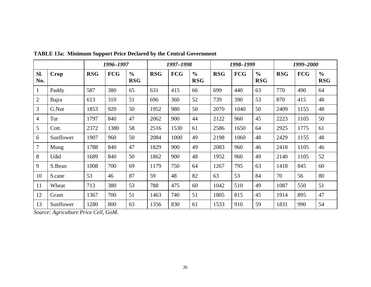|                |           |            | 1996-1997  |                             |            | 1997-1998  |                             |            | 1998–1999  |                             |            | 1999–2000  |                             |
|----------------|-----------|------------|------------|-----------------------------|------------|------------|-----------------------------|------------|------------|-----------------------------|------------|------------|-----------------------------|
| Sl.<br>No.     | Crop      | <b>RSG</b> | <b>FCG</b> | $\frac{0}{0}$<br><b>RSG</b> | <b>RSG</b> | <b>FCG</b> | $\frac{0}{0}$<br><b>RSG</b> | <b>RSG</b> | <b>FCG</b> | $\frac{6}{6}$<br><b>RSG</b> | <b>RSG</b> | <b>FCG</b> | $\frac{0}{0}$<br><b>RSG</b> |
| $\mathbf{1}$   | Paddy     | 587        | 380        | 65                          | 631        | 415        | 66                          | 699        | 440        | 63                          | 770        | 490        | 64                          |
| $\overline{2}$ | Bajra     | 613        | 310        | 51                          | 696        | 360        | 52                          | 739        | 390        | 53                          | 870        | 415        | 48                          |
| 3              | G.Nut     | 1853       | 920        | 50                          | 1952       | 980        | 50                          | 2070       | 1040       | 50                          | 2409       | 1155       | 48                          |
| 4              | Tur       | 1797       | 840        | 47                          | 2062       | 900        | 44                          | 2122       | 960        | 45                          | 2223       | 1105       | 50                          |
| 5              | Cott.     | 2372       | 1380       | 58                          | 2516       | 1530       | 61                          | 2586       | 1650       | 64                          | 2925       | 1775       | 61                          |
| 6              | Sunflower | 1907       | 960        | 50                          | 2084       | 1000       | 49                          | 2198       | 1060       | 48                          | 2429       | 1155       | 48                          |
| $\tau$         | Mung      | 1788       | 840        | 47                          | 1829       | 900        | 49                          | 2083       | 960        | 46                          | 2418       | 1105       | 46                          |
| 8              | Udid      | 1689       | 840        | 50                          | 1862       | 900        | 48                          | 1952       | 960        | 49                          | 2140       | 1105       | 52                          |
| 9              | S.Bean    | 1008       | 700        | 69                          | 1179       | 750        | 64                          | 1267       | 795        | 63                          | 1418       | 845        | 60                          |
| 10             | S.cane    | 53         | 46         | 87                          | 59         | 48         | 82                          | 63         | 53         | 84                          | 70         | 56         | 80                          |
| 11             | Wheat     | 713        | 380        | 53                          | 788        | 475        | 60                          | 1042       | 510        | 49                          | 1087       | 550        | 51                          |
| 12             | Gram      | 1367       | 700        | 51                          | 1463       | 740        | 51                          | 1805       | 815        | 45                          | 1914       | 895        | 47                          |
| 13             | Sunflower | 1280       | 800        | 63                          | 1356       | 830        | 61                          | 1533       | 910        | 59                          | 1831       | 990        | 54                          |

**TABLE 13a: Minimum Support Price Declared by the Central Government**

*Source: Agriculture Price Cell, GoM.*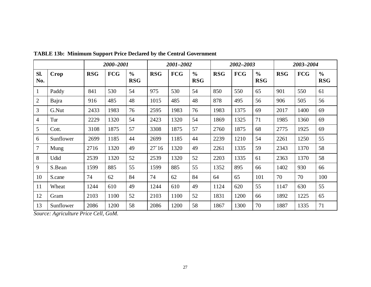|                |           | 2000-2001  |            |                             | 2001-2002  |            |                             | 2002-2003  |            |                             | 2003-2004  |            |                             |
|----------------|-----------|------------|------------|-----------------------------|------------|------------|-----------------------------|------------|------------|-----------------------------|------------|------------|-----------------------------|
| Sl.<br>No.     | Crop      | <b>RSG</b> | <b>FCG</b> | $\frac{0}{0}$<br><b>RSG</b> | <b>RSG</b> | <b>FCG</b> | $\frac{0}{0}$<br><b>RSG</b> | <b>RSG</b> | <b>FCG</b> | $\frac{6}{6}$<br><b>RSG</b> | <b>RSG</b> | <b>FCG</b> | $\frac{6}{6}$<br><b>RSG</b> |
| $\mathbf{1}$   | Paddy     | 841        | 530        | 54                          | 975        | 530        | 54                          | 850        | 550        | 65                          | 901        | 550        | 61                          |
| $\overline{2}$ | Bajra     | 916        | 485        | 48                          | 1015       | 485        | 48                          | 878        | 495        | 56                          | 906        | 505        | 56                          |
| 3              | G.Nut     | 2433       | 1983       | 76                          | 2595       | 1983       | 76                          | 1983       | 1375       | 69                          | 2017       | 1400       | 69                          |
| $\overline{4}$ | Tur       | 2229       | 1320       | 54                          | 2423       | 1320       | 54                          | 1869       | 1325       | 71                          | 1985       | 1360       | 69                          |
| 5              | Cott.     | 3108       | 1875       | 57                          | 3308       | 1875       | 57                          | 2760       | 1875       | 68                          | 2775       | 1925       | 69                          |
| 6              | Sunflower | 2699       | 1185       | 44                          | 2699       | 1185       | 44                          | 2239       | 1210       | 54                          | 2261       | 1250       | 55                          |
| $\overline{7}$ | Mung      | 2716       | 1320       | 49                          | 27'16      | 1320       | 49                          | 2261       | 1335       | 59                          | 2343       | 1370       | 58                          |
| 8              | Udid      | 2539       | 1320       | 52                          | 2539       | 1320       | 52                          | 2203       | 1335       | 61                          | 2363       | 1370       | 58                          |
| 9              | S.Bean    | 1599       | 885        | 55                          | 1599       | 885        | 55                          | 1352       | 895        | 66                          | 1402       | 930        | 66                          |
| 10             | S.cane    | 74         | 62         | 84                          | 74         | 62         | 84                          | 64         | 65         | 101                         | 70         | 70         | 100                         |
| 11             | Wheat     | 1244       | 610        | 49                          | 1244       | 610        | 49                          | 1124       | 620        | 55                          | 1147       | 630        | 55                          |
| 12             | Gram      | 2103       | 1100       | 52                          | 2103       | 1100       | 52                          | 1831       | 1200       | 66                          | 1892       | 1225       | 65                          |
| 13             | Sunflower | 2086       | 1200       | 58                          | 2086       | 1200       | 58                          | 1867       | 1300       | 70                          | 1887       | 1335       | 71                          |

**TABLE 13b: Minimum Support Price Declared by the Central Government**

*Source: Agriculture Price Cell, GoM.*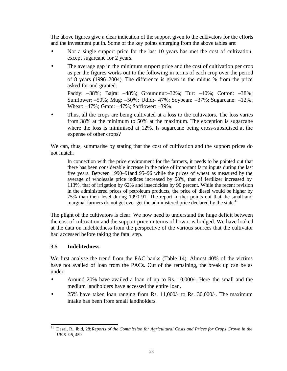The above figures give a clear indication of the support given to the cultivators for the efforts and the investment put in. Some of the key points emerging from the above tables are:

- Not a single support price for the last 10 years has met the cost of cultivation, except sugarcane for 2 years.
- The average gap in the minimum support price and the cost of cultivation per crop as per the figures works out to the following in terms of each crop over the period of 8 years (1996–2004). The difference is given in the minus % from the price asked for and granted.

Paddy: –38%; Bajra: –48%; Groundnut:–32%; Tur: –40%; Cotton: –38%; Sunflower: –50%; Mug: –50%; Udid:– 47%; Soybean: –37%; Sugarcane: –12%; Wheat: –47%; Gram: –47%; Safflower: –39%.

• Thus, all the crops are being cultivated at a loss to the cultivators. The loss varies from 38% at the minimum to 50% at the maximum. The exception is sugarcane where the loss is minimised at 12%. Is sugarcane being cross-subsidised at the expense of other crops?

We can, thus, summarise by stating that the cost of cultivation and the support prices do not match.

In connection with the price environment for the farmers, it needs to be pointed out that there has been considerable increase in the price of important farm inputs during the last five years. Between 1990–91and 95–96 while the prices of wheat as measured by the average of wholesale price indices increased by 58%, that of fertilizer increased by 113%, that of irrigation by 62% and insecticides by 90 percent. While the recent revision in the administered prices of petroleum products, the price of diesel would be higher by 75% than their level during 1990-91. The report further points out that the small and marginal farmers do not get ever get the administered price declared by the state.<sup>41</sup>

The plight of the cultivators is clear. We now need to understand the huge deficit between the cost of cultivation and the support price in terms of how it is bridged. We have looked at the data on indebtedness from the perspective of the various sources that the cultivator had accessed before taking the fatal step.

## **3.5 Indebtedness**

We first analyse the trend from the PAC banks (Table 14). Almost 40% of the victims have not availed of loan from the PACs. Out of the remaining, the break up can be as under:

- Around 20% have availed a loan of up to Rs. 10,000/-. Here the small and the medium landholders have accessed the entire loan.
- 25% have taken loan ranging from Rs. 11,000/- to Rs. 30,000/-. The maximum intake has been from small landholders.

l <sup>41</sup> Desai, R., ibid, 28;*Reports of the Commission for Agricultural Costs and Prices for Crops Grown in the 1995–96*, 459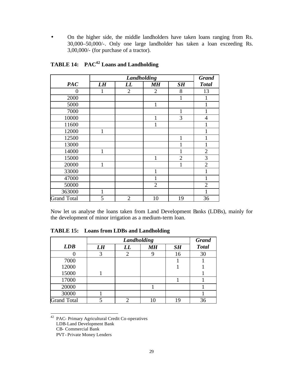• On the higher side, the middle landholders have taken loans ranging from Rs. 30,000–50,000/-. Only one large landholder has taken a loan exceeding Rs. 3,00,000/- (for purchase of a tractor).

|                    |              |                | <b>Grand</b>   |                |                |
|--------------------|--------------|----------------|----------------|----------------|----------------|
| <b>PAC</b>         | LH           | LL             | <b>MH</b>      | SH             | <b>Total</b>   |
| $\Omega$           | 1            | $\overline{2}$ | $\overline{2}$ | 8              | 13             |
| 2000               |              |                |                | 1              | 1              |
| 5000               |              |                | $\mathbf{1}$   |                | 1              |
| 7000               |              |                |                | 1              | 1              |
| 10000              |              |                | 1              | 3              | $\overline{4}$ |
| 11600              |              |                |                |                |                |
| 12000              | 1            |                |                |                |                |
| 12500              |              |                |                |                |                |
| 13000              |              |                |                |                | 1              |
| 14000              | 1            |                |                |                | $\overline{2}$ |
| 15000              |              |                | 1              | $\overline{2}$ | 3              |
| 20000              | 1            |                |                |                | $\overline{2}$ |
| 33000              |              |                | 1              |                |                |
| 47000              |              |                | 1              |                | 1              |
| 50000              |              |                | $\overline{2}$ |                | $\overline{2}$ |
| 363000             | $\mathbf{1}$ |                |                |                |                |
| <b>Grand Total</b> | 5            | $\overline{2}$ | 10             | 19             | 36             |

**TABLE 14: PAC<sup>42</sup> Loans and Landholding**

Now let us analyse the loans taken from Land Development Banks (LDBs), mainly for the development of minor irrigation as a medium-term loan.

|                    |    |    | <b>Grand</b> |           |              |
|--------------------|----|----|--------------|-----------|--------------|
| LDB                | LH | LL | MН           | <b>SH</b> | <b>Total</b> |
|                    | 3  | 2  |              | 16        | 30           |
| 7000               |    |    |              |           |              |
| 12000              |    |    |              |           |              |
| 15000              |    |    |              |           |              |
| 17000              |    |    |              |           |              |
| 20000              |    |    |              |           |              |
| 30000              |    |    |              |           |              |
| <b>Grand Total</b> |    | ◠  | 10           | 19        | 36           |

**TABLE 15: Loans from LDBs and Landholding**

<sup>42</sup> PAC- Primary Agricultural Credit Co-operatives

LDB-Land Development Bank

CB- Commercial Bank

PVT- Private Money Lenders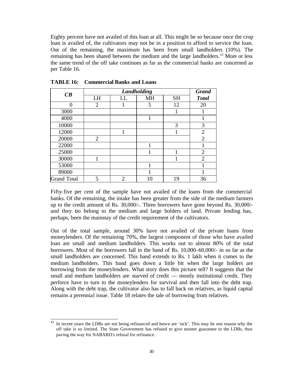Eighty percent have not availed of this loan at all. This might be so because once the crop loan is availed of, the cultivators may not be in a position to afford to service the loan. Out of the remaining, the maximum has been from small landholders (10%). The remaining has been shared between the medium and the large landholders.<sup>43</sup> More or less the same trend of the off take continues as far as the commercial banks are concerned as per Table 16.

| CB                 |                |                | Landholding |           | <b>Grand</b>   |
|--------------------|----------------|----------------|-------------|-----------|----------------|
|                    | LH             | LL             | <b>MH</b>   | <b>SH</b> | <b>Total</b>   |
|                    | $\overline{2}$ |                | 5           | 12        | 20             |
| 3000               |                |                |             |           |                |
| 4000               |                |                | 1           |           | 1              |
| 10000              |                |                |             | 3         | 3              |
| 12000              |                |                |             |           | $\overline{2}$ |
| 20000              | $\overline{2}$ |                |             |           | $\overline{2}$ |
| 22000              |                |                | 1           |           |                |
| 25000              |                |                |             | 1         | $\overline{2}$ |
| 30000              |                |                |             |           | $\overline{2}$ |
| 53000              |                |                | 1           |           | 1              |
| 89000              |                |                |             |           |                |
| <b>Grand Total</b> | 5              | $\overline{2}$ | 10          | 19        | 36             |

**TABLE 16: Commercial Banks and Loans**

l

Fifty-five per cent of the sample have not availed of the loans from the commercial banks. Of the remaining, the intake has been greater from the side of the medium farmers up to the credit amount of Rs. 30,000/-. Three borrowers have gone beyond Rs. 30,000/ and they too belong to the medium and large holders of land. Private lending has, perhaps, been the mainstay of the credit requirement of the cultivators.

Out of the total sample, around 30% have not availed of the private loans from moneylenders. Of the remaining 70%, the largest component of those who have availed loan are small and medium landholders. This works out to almost 80% of the total borrowers. Most of the borrowers fall in the band of Rs. 10,000–60,000/- in so far as the small landholders are concerned. This band extends to Rs. 1 lakh when it comes to the medium landholders. This band goes down a little bit when the large holders are borrowing from the moneylenders. What story does this picture tell? It suggests that the small and medium landholders are starved of credit — mostly institutional credit. They perforce have to turn to the moneylenders for survival and then fall into the debt trap. Along with the debt trap, the cultivator also has to fall back on relatives, as liquid capital remains a perennial issue. Table 18 relates the tale of borrowing from relatives.

In recent years the LDBs are not being refinanced and hence are 'sick'. This may be one reason why the off take is so limited. The State Government has refused to give counter guarantee to the LDBs, thus paving the way for NABARD's refusal for refinance.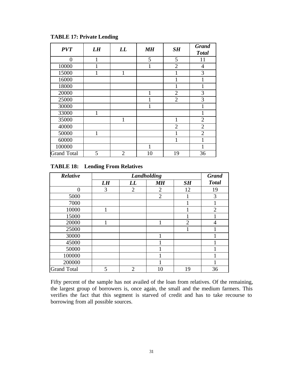| <b>PVT</b>         | LH | LL             | <b>MH</b> | SH             | <b>Grand</b><br><b>Total</b> |
|--------------------|----|----------------|-----------|----------------|------------------------------|
| 0                  |    |                | 5         | 5              | 11                           |
| 10000              |    |                | 1         | $\overline{2}$ | $\overline{4}$               |
| 15000              |    | 1              |           |                | 3                            |
| 16000              |    |                |           |                |                              |
| 18000              |    |                |           |                | 1                            |
| 20000              |    |                | 1         | $\overline{2}$ | 3                            |
| 25000              |    |                | 1         | $\overline{2}$ | 3                            |
| 30000              |    |                | 1         |                |                              |
| 33000              |    |                |           |                |                              |
| 35000              |    | 1              |           | 1              | $\overline{2}$               |
| 40000              |    |                |           | $\overline{2}$ | $\overline{2}$               |
| 50000              | 1  |                |           | 1              | $\overline{2}$               |
| 60000              |    |                |           | 1              |                              |
| 100000             |    |                | 1         |                |                              |
| <b>Grand Total</b> | 5  | $\overline{2}$ | 10        | 19             | 36                           |

## **TABLE 17: Private Lending**

## **TABLE 18: Lending From Relatives**

| Relative           |    | Landholding    |                |                |                |  |  |  |
|--------------------|----|----------------|----------------|----------------|----------------|--|--|--|
|                    | LH | LL             | <b>MH</b>      | SH             | <b>Total</b>   |  |  |  |
| 0                  | 3  | $\overline{2}$ | $\overline{2}$ | 12             | 19             |  |  |  |
| 5000               |    |                | $\overline{2}$ |                | 3              |  |  |  |
| 7000               |    |                |                |                |                |  |  |  |
| 10000              |    |                |                |                | $\overline{2}$ |  |  |  |
| 15000              |    |                |                |                |                |  |  |  |
| 20000              |    |                | 1              | $\overline{2}$ | 4              |  |  |  |
| 25000              |    |                |                |                |                |  |  |  |
| 30000              |    |                |                |                |                |  |  |  |
| 45000              |    |                |                |                |                |  |  |  |
| 50000              |    |                |                |                |                |  |  |  |
| 100000             |    |                |                |                |                |  |  |  |
| 200000             |    |                |                |                |                |  |  |  |
| <b>Grand Total</b> | 5  | $\overline{2}$ | 10             | 19             | 36             |  |  |  |

Fifty percent of the sample has not availed of the loan from relatives. Of the remaining, the largest group of borrowers is, once again, the small and the medium farmers. This verifies the fact that this segment is starved of credit and has to take recourse to borrowing from all possible sources.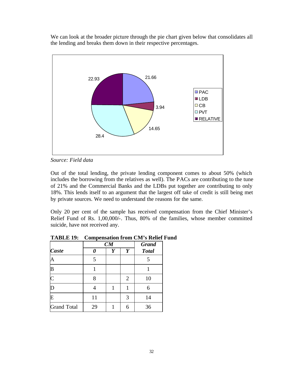We can look at the broader picture through the pie chart given below that consolidates all the lending and breaks them down in their respective percentages.



*Source: Field data*

Out of the total lending, the private lending component comes to about 50% (which includes the borrowing from the relatives as well). The PACs are contributing to the tune of 21% and the Commercial Banks and the LDBs put together are contributing to only 18%. This lends itself to an argument that the largest off take of credit is still being met by private sources. We need to understand the reasons for the same.

Only 20 per cent of the sample has received compensation from the Chief Minister's Relief Fund of Rs. 1,00,000/-. Thus, 80% of the families, whose member committed suicide, have not received any.

|                       | $\sim$ ---- | CM |                | <b>Grand</b> |  |
|-----------------------|-------------|----|----------------|--------------|--|
| Caste                 |             | Y  | Y              | <b>Total</b> |  |
| Α                     | 5           |    |                | 5            |  |
| B                     |             |    |                |              |  |
| $\overline{\text{C}}$ | 8           |    | $\overline{2}$ | 10           |  |
| D                     |             |    |                | 6            |  |
| E                     | 11          |    | 3              | 14           |  |
| <b>Grand Total</b>    | 29          |    | 6              | 36           |  |

**TABLE 19: Compensation from CM's Relief Fund**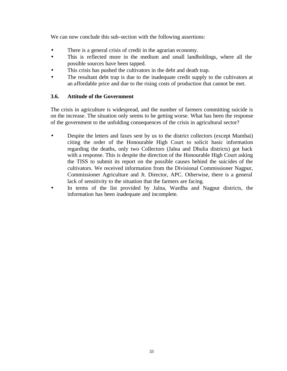We can now conclude this sub-section with the following assertions:

- There is a general crisis of credit in the agrarian economy.
- This is reflected more in the medium and small landholdings, where all the possible sources have been tapped.
- This crisis has pushed the cultivators in the debt and death trap.
- The resultant debt trap is due to the inadequate credit supply to the cultivators at an affordable price and due to the rising costs of production that cannot be met.

## **3.6. Attitude of the Government**

The crisis in agriculture is widespread, and the number of farmers committing suicide is on the increase. The situation only seems to be getting worse. What has been the response of the government to the unfolding consequences of the crisis in agricultural sector?

- Despite the letters and faxes sent by us to the district collectors (except Mumbai) citing the order of the Honourable High Court to solicit basic information regarding the deaths, only two Collectors (Jalna and Dhulia districts) got back with a response. This is despite the direction of the Honourable High Court asking the TISS to submit its report on the possible causes behind the suicides of the cultivators. We received information from the Divisional Commissioner Nagpur, Commissioner Agriculture and Jt. Director, APC. Otherwise, there is a general lack of sensitivity to the situation that the farmers are facing.
- In terms of the list provided by Jalna, Wardha and Nagpur districts, the information has been inadequate and incomplete.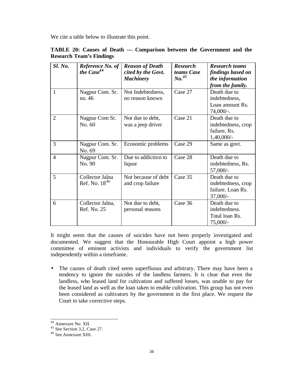We cite a table below to illustrate this point.

| Sl. No.        | Reference No. of<br>the $Case44$      | <b>Reason of Death</b><br>cited by the Govt.<br><b>Machinery</b> | <b>Research</b><br>teams Case<br>No. <sup>45</sup> | <b>Research teams</b><br>findings based on<br>the information<br>from the family. |
|----------------|---------------------------------------|------------------------------------------------------------------|----------------------------------------------------|-----------------------------------------------------------------------------------|
| $\mathbf{1}$   | Nagpur Com. Sr.<br>no. 46             | Not Indebtedness,<br>no reason known                             | Case 27                                            | Death due to<br>indebtedness,<br>Loan amount Rs.<br>$74,000/-.$                   |
| $\overline{2}$ | Nagpur Com Sr.<br>No. 60              | Not due to debt,<br>was a jeep driver                            | Case 21                                            | Death due to<br>indebtedness, crop<br>failure, Rs.<br>$1,40,000/-$                |
| 3              | Nagpur Com. Sr.<br>No. 69             | Economic problems                                                | Case 29                                            | Same as govt.                                                                     |
| $\overline{4}$ | Nagpur Com. Sr.<br>No. 90             | Due to addiction to<br>liquor                                    | Case 28                                            | Death due to<br>indebtedness, Rs.<br>57,000/-                                     |
| 5              | Collector Jalna<br>Ref. No. $18^{46}$ | Not because of debt<br>and crop failure                          | Case 35                                            | Death due to<br>indebtedness, crop<br>failure. Loan Rs.<br>$37,000/-$             |
| 6              | Collector Jalna,<br>Ref. No. 25       | Not due to debt,<br>personal reasons                             | Case 36                                            | Death due to<br>indebtedness.<br>Total loan Rs.<br>$75,000/-$                     |

## **TABLE 20: Causes of Death — Comparison between the Government and the Research Team's Findings**

It might seem that the causes of suicides have not been properly investigated and documented. We suggest that the Honourable High Court appoint a high power committee of eminent activists and individuals to verify the government list independently within a timeframe.

• The causes of death cited seem superfluous and arbitrary. There may have been a tendency to ignore the suicides of the landless farmers. It is clear that even the landless, who leased land for cultivation and suffered losses, was unable to pay for the leased land as well as the loan taken to enable cultivation. This group has not even been considered as cultivators by the government in the first place. We request the Court to take corrective steps.

<sup>44</sup> Annexure No. XII.

 $45$  See Section 3.2, Case 27.

<sup>46</sup> See Annexure XIII.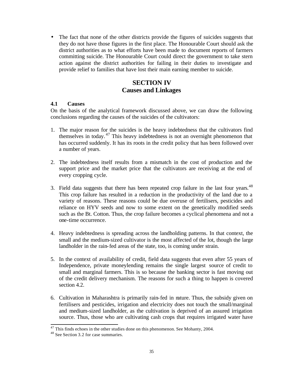• The fact that none of the other districts provide the figures of suicides suggests that they do not have those figures in the first place. The Honourable Court should ask the district authorities as to what efforts have been made to document reports of farmers committing suicide. The Honourable Court could direct the government to take stern action against the district authorities for failing in their duties to investigate and provide relief to families that have lost their main earning member to suicide.

## **SECTION IV Causes and Linkages**

## **4.1 Causes**

On the basis of the analytical framework discussed above, we can draw the following conclusions regarding the causes of the suicides of the cultivators:

- 1. The major reason for the suicides is the heavy indebtedness that the cultivators find themselves in today. <sup>47</sup> This heavy indebtedness is not an overnight phenomenon that has occurred suddenly. It has its roots in the credit policy that has been followed over a number of years.
- 2. The indebtedness itself results from a mismatch in the cost of production and the support price and the market price that the cultivators are receiving at the end of every cropping cycle.
- 3. Field data suggests that there has been repeated crop failure in the last four years. $48$ This crop failure has resulted in a reduction in the productivity of the land due to a variety of reasons. These reasons could be due overuse of fertilisers, pesticides and reliance on HYV seeds and now to some extent on the genetically modified seeds such as the Bt. Cotton. Thus, the crop failure becomes a cyclical phenomena and not a one-time occurrence.
- 4. Heavy indebtedness is spreading across the landholding patterns. In that context, the small and the medium-sized cultivator is the most affected of the lot, though the large landholder in the rain-fed areas of the state, too, is coming under strain.
- 5. In the context of availability of credit, field data suggests that even after 55 years of Independence, private moneylending remains the single largest source of credit to small and marginal farmers. This is so because the banking sector is fast moving out of the credit delivery mechanism. The reasons for such a thing to happen is covered section 4.2.
- 6. Cultivation in Maharashtra is primarily rain-fed in nature. Thus, the subsidy given on fertilisers and pesticides, irrigation and electricity does not touch the small/marginal and medium-sized landholder, as the cultivation is deprived of an assured irrigation source. Thus, those who are cultivating cash crops that requires irrigated water have

 $47$  This finds echoes in the other studies done on this phenomenon. See Mohanty, 2004.

<sup>48</sup> See Section 3.2 for case summaries.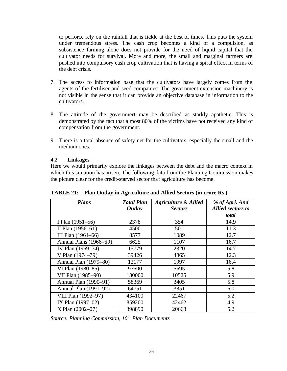to perforce rely on the rainfall that is fickle at the best of times. This puts the system under tremendous stress. The cash crop becomes a kind of a compulsion, as subsistence farming alone does not provide for the need of liquid capital that the cultivator needs for survival. More and more, the small and marginal farmers are pushed into compulsory cash crop cultivation that is having a spiral effect in terms of the debt crisis.

- 7. The access to information base that the cultivators have largely comes from the agents of the fertiliser and seed companies. The government extension machinery is not visible in the sense that it can provide an objective database in information to the cultivators.
- 8. The attitude of the government may be described as starkly apathetic. This is demonstrated by the fact that almost 80% of the victims have not received any kind of compensation from the government.
- 9. There is a total absence of safety net for the cultivators, especially the small and the medium ones.

## **4.2 Linkages**

Here we would primarily explore the linkages between the debt and the macro context in which this situation has arisen. The following data from the Planning Commission makes the picture clear for the credit-starved sector that agriculture has become.

| <b>Plans</b>           | <b>Total Plan</b><br><b>Outlay</b> | <b>Agriculture &amp; Allied</b><br><b>Sectors</b> | % of Agri. And<br><b>Allied sectors to</b> |
|------------------------|------------------------------------|---------------------------------------------------|--------------------------------------------|
|                        |                                    |                                                   | total                                      |
| I Plan (1951–56)       | 2378                               | 354                                               | 14.9                                       |
| II Plan $(1956-61)$    | 4500                               | 501                                               | 11.3                                       |
| III Plan (1961-66)     | 8577                               | 1089                                              | 12.7                                       |
| Annual Plans (1966–69) | 6625                               | 1107                                              | 16.7                                       |
| IV Plan (1969–74)      | 15779                              | 2320                                              | 14.7                                       |
| V Plan (1974–79)       | 39426                              | 4865                                              | 12.3                                       |
| Annual Plan (1979–80)  | 12177                              | 1997                                              | 16.4                                       |
| VI Plan (1980–85)      | 97500                              | 5695                                              | 5.8                                        |
| VII Plan (1985–90)     | 180000                             | 10525                                             | 5.9                                        |
| Annual Plan (1990–91)  | 58369                              | 3405                                              | 5.8                                        |
| Annual Plan (1991–92)  | 64751                              | 3851                                              | 6.0                                        |
| VIII Plan (1992-97)    | 434100                             | 22467                                             | 5.2                                        |
| IX Plan (1997-02)      | 859200                             | 42462                                             | 4.9                                        |
| X Plan (2002-07)       | 398890                             | 20668                                             | 5.2                                        |

**TABLE 21: Plan Outlay in Agriculture and Allied Sectors (in crore Rs.)**

*Source: Planning Commission, 10th Plan Documents*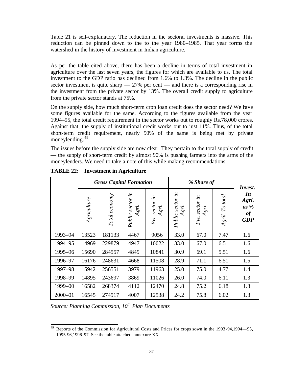Table 21 is self-explanatory. The reduction in the sectoral investments is massive. This reduction can be pinned down to the to the year 1980–1985. That year forms the watershed in the history of investment in Indian agriculture.

As per the table cited above, there has been a decline in terms of total investment in agriculture over the last seven years, the figures for which are available to us. The total investment to the GDP ratio has declined from 1.6% to 1.3%. The decline in the public sector investment is quite sharp  $-27\%$  per cent  $-$  and there is a corresponding rise in the investment from the private sector by 13%. The overall credit supply to agriculture from the private sector stands at 75%.

On the supply side, how much short-term crop loan credit does the sector need? We have some figures available for the same. According to the figures available from the year 1994–95, the total credit requirement in the sector works out to roughly Rs.78,000 crores. Against that, the supply of institutional credit works out to just 11%. Thus, of the total short-term credit requirement, nearly 90% of the same is being met by private moneylending.<sup>49</sup>

The issues before the supply side are now clear. They pertain to the total supply of credit — the supply of short-term credit by almost 90% is pushing farmers into the arms of the moneylenders. We need to take a note of this while making recommendations.

|             | <b>Gross Capital Formation</b> |               |                           |                            | % Share of                |                         |                    | Invest.                                   |
|-------------|--------------------------------|---------------|---------------------------|----------------------------|---------------------------|-------------------------|--------------------|-------------------------------------------|
|             | $A$ griculture                 | Total economy | Public sector in<br>Agri. | sector in<br>Agri.<br>Pvt. | Public sector in<br>Agri. | Pvt. sector in<br>Agri. | To total<br>Agril. | In<br>Agri.<br>$as\%$<br>of<br><b>GDP</b> |
| 1993-94     | 13523                          | 181133        | 4467                      | 9056                       | 33.0                      | 67.0                    | 7.47               | 1.6                                       |
| 1994-95     | 14969                          | 229879        | 4947                      | 10022                      | 33.0                      | 67.0                    | 6.51               | 1.6                                       |
| 1995-96     | 15690                          | 284557        | 4849                      | 10841                      | 30.9                      | 69.1                    | 5.51               | 1.6                                       |
| 1996-97     | 16176                          | 248631        | 4668                      | 11508                      | 28.9                      | 71.1                    | 6.51               | 1.5                                       |
| 1997-98     | 15942                          | 256551        | 3979                      | 11963                      | 25.0                      | 75.0                    | 4.77               | 1.4                                       |
| 1998-99     | 14895                          | 243697        | 3869                      | 11026                      | 26.0                      | 74.0                    | 6.11               | 1.3                                       |
| 1999-00     | 16582                          | 268374        | 4112                      | 12470                      | 24.8                      | 75.2                    | 6.18               | 1.3                                       |
| $2000 - 01$ | 16545                          | 274917        | 4007                      | 12538                      | 24.2                      | 75.8                    | 6.02               | 1.3                                       |

**TABLE 22: Investment in Agriculture**

*Source: Planning Commission, 10th Plan Documents*

l <sup>49</sup> Reports of the Commission for Agricultural Costs and Prices for crops sown in the 1993-94,1994—95, 1995-96,1996-97. See the table attached, annexure XX.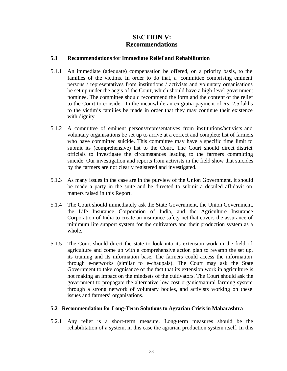## **SECTION V: Recommendations**

## **5.1 Recommendations for Immediate Relief and Rehabilitation**

- 5.1.1 An immediate (adequate) compensation be offered, on a priority basis, to the families of the victims. In order to do that, a committee comprising eminent persons / representatives from institutions / activists and voluntary organisations be set up under the aegis of the Court, which should have a high-level government nominee. The committee should recommend the form and the content of the relief to the Court to consider. In the meanwhile an ex-gratia payment of Rs. 2.5 lakhs to the victim's families be made in order that they may continue their existence with dignity.
- 5.1.2 A committee of eminent persons/representatives from institutions/activists and voluntary organisations be set up to arrive at a correct and complete list of farmers who have committed suicide. This committee may have a specific time limit to submit its (comprehensive) list to the Court. The Court should direct district officials to investigate the circumstances leading to the farmers committing suicide. Our investigation and reports from activists in the field show that suicides by the farmers are not clearly registered and investigated.
- 5.1.3 As many issues in the case are in the purview of the Union Government, it should be made a party in the suite and be directed to submit a detailed affidavit on matters raised in this Report.
- 5.1.4 The Court should immediately ask the State Government, the Union Government, the Life Insurance Corporation of India, and the Agriculture Insurance Corporation of India to create an insurance safety net that covers the assurance of minimum life support system for the cultivators and their production system as a whole.
- 5.1.5 The Court should direct the state to look into its extension work in the field of agriculture and come up with a comprehensive action plan to revamp the set up, its training and its information base. The farmers could access the information through e-networks (similar to e-chaupals). The Court may ask the State Government to take cognisance of the fact that its extension work in agriculture is not making an impact on the mindsets of the cultivators. The Court should ask the government to propagate the alternative low cost organic/natural farming system through a strong network of voluntary bodies, and activists working on these issues and farmers' organisations.

#### **5.2 Recommendation for Long-Term Solutions to Agrarian Crisis in Maharashtra**

5.2.1 Any relief is a short-term measure. Long-term measures should be the rehabilitation of a system, in this case the agrarian production system itself. In this